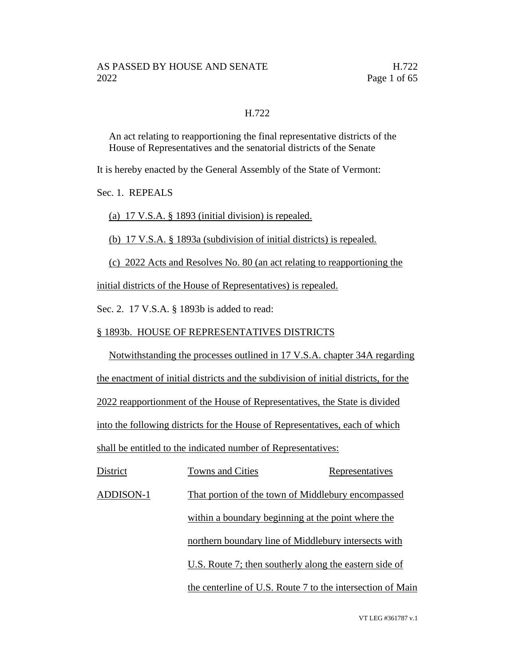### H.722

An act relating to reapportioning the final representative districts of the House of Representatives and the senatorial districts of the Senate

It is hereby enacted by the General Assembly of the State of Vermont:

Sec. 1. REPEALS

(a) 17 V.S.A. § 1893 (initial division) is repealed.

(b) 17 V.S.A. § 1893a (subdivision of initial districts) is repealed.

(c) 2022 Acts and Resolves No. 80 (an act relating to reapportioning the

initial districts of the House of Representatives) is repealed.

Sec. 2. 17 V.S.A. § 1893b is added to read:

### § 1893b. HOUSE OF REPRESENTATIVES DISTRICTS

Notwithstanding the processes outlined in 17 V.S.A. chapter 34A regarding the enactment of initial districts and the subdivision of initial districts, for the 2022 reapportionment of the House of Representatives, the State is divided into the following districts for the House of Representatives, each of which shall be entitled to the indicated number of Representatives:

| District  | <b>Towns and Cities</b>                                | Representatives                                            |
|-----------|--------------------------------------------------------|------------------------------------------------------------|
| ADDISON-1 | That portion of the town of Middlebury encompassed     |                                                            |
|           | within a boundary beginning at the point where the     |                                                            |
|           | northern boundary line of Middlebury intersects with   |                                                            |
|           | U.S. Route 7; then southerly along the eastern side of |                                                            |
|           |                                                        | the centerline of U.S. Route 7 to the intersection of Main |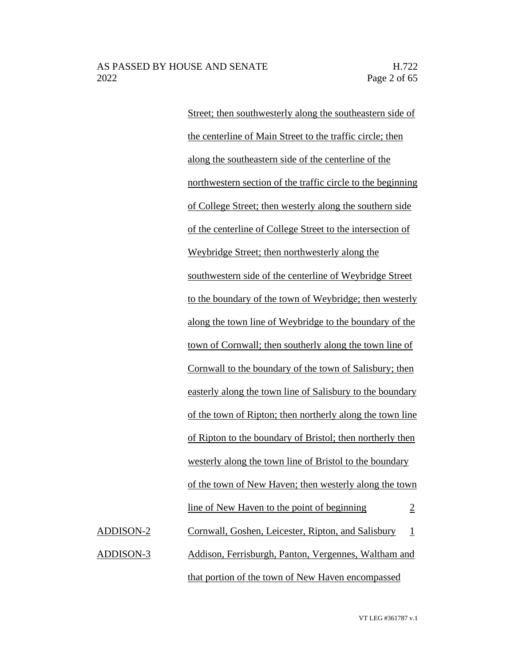Street; then southwesterly along the southeastern side of the centerline of Main Street to the traffic circle; then along the southeastern side of the centerline of the northwestern section of the traffic circle to the beginning of College Street; then westerly along the southern side of the centerline of College Street to the intersection of Weybridge Street; then northwesterly along the southwestern side of the centerline of Weybridge Street to the boundary of the town of Weybridge; then westerly along the town line of Weybridge to the boundary of the town of Cornwall; then southerly along the town line of Cornwall to the boundary of the town of Salisbury; then easterly along the town line of Salisbury to the boundary of the town of Ripton; then northerly along the town line of Ripton to the boundary of Bristol; then northerly then westerly along the town line of Bristol to the boundary of the town of New Haven; then westerly along the town line of New Haven to the point of beginning 2 ADDISON-2 Cornwall, Goshen, Leicester, Ripton, and Salisbury 1 ADDISON-3 Addison, Ferrisburgh, Panton, Vergennes, Waltham and that portion of the town of New Haven encompassed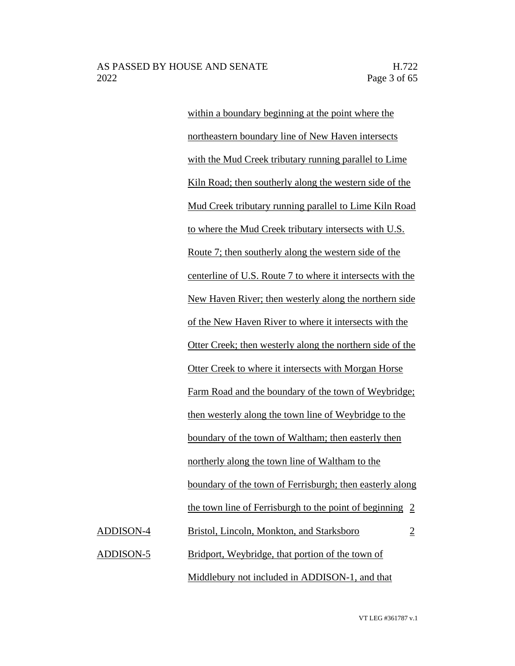within a boundary beginning at the point where the northeastern boundary line of New Haven intersects with the Mud Creek tributary running parallel to Lime Kiln Road; then southerly along the western side of the Mud Creek tributary running parallel to Lime Kiln Road to where the Mud Creek tributary intersects with U.S. Route 7; then southerly along the western side of the centerline of U.S. Route 7 to where it intersects with the New Haven River; then westerly along the northern side of the New Haven River to where it intersects with the Otter Creek; then westerly along the northern side of the Otter Creek to where it intersects with Morgan Horse Farm Road and the boundary of the town of Weybridge; then westerly along the town line of Weybridge to the boundary of the town of Waltham; then easterly then northerly along the town line of Waltham to the boundary of the town of Ferrisburgh; then easterly along the town line of Ferrisburgh to the point of beginning 2 ADDISON-4 Bristol, Lincoln, Monkton, and Starksboro 2 ADDISON-5 Bridport, Weybridge, that portion of the town of Middlebury not included in ADDISON-1, and that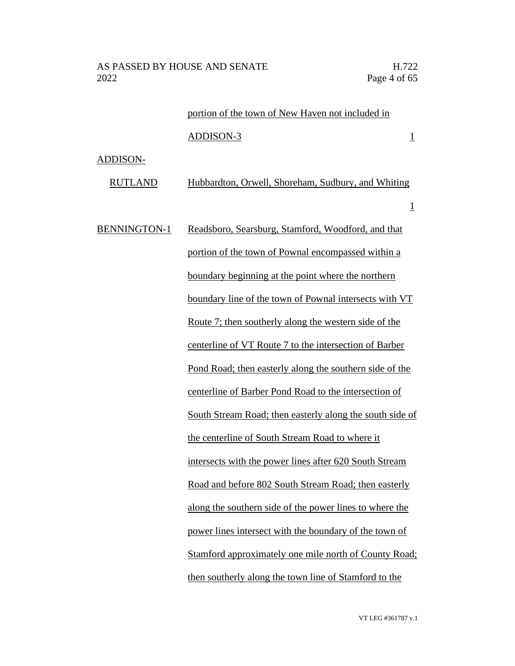1

# portion of the town of New Haven not included in

### ADDISON-3 1

### ADDISON-

RUTLAND Hubbardton, Orwell, Shoreham, Sudbury, and Whiting

BENNINGTON-1 Readsboro, Searsburg, Stamford, Woodford, and that portion of the town of Pownal encompassed within a boundary beginning at the point where the northern boundary line of the town of Pownal intersects with VT Route 7; then southerly along the western side of the centerline of VT Route 7 to the intersection of Barber Pond Road; then easterly along the southern side of the centerline of Barber Pond Road to the intersection of South Stream Road; then easterly along the south side of the centerline of South Stream Road to where it intersects with the power lines after 620 South Stream Road and before 802 South Stream Road; then easterly along the southern side of the power lines to where the power lines intersect with the boundary of the town of Stamford approximately one mile north of County Road; then southerly along the town line of Stamford to the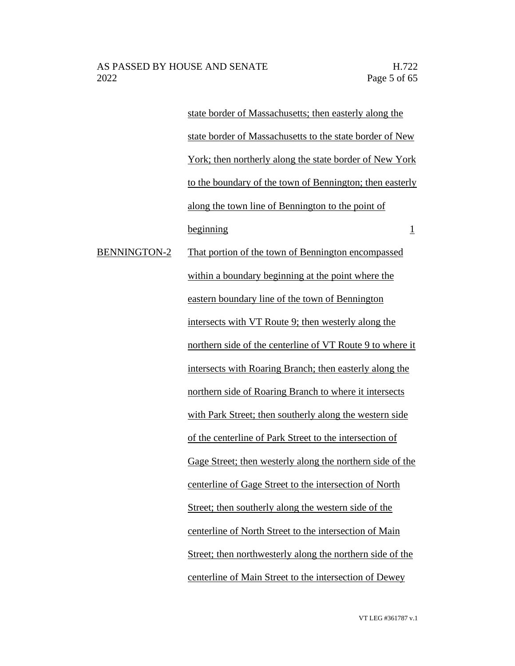state border of Massachusetts; then easterly along the state border of Massachusetts to the state border of New York; then northerly along the state border of New York to the boundary of the town of Bennington; then easterly along the town line of Bennington to the point of  $begin{array}{c|c}\n \text{beginning} \\
\hline\n \end{array}$ BENNINGTON-2 That portion of the town of Bennington encompassed within a boundary beginning at the point where the eastern boundary line of the town of Bennington intersects with VT Route 9; then westerly along the northern side of the centerline of VT Route 9 to where it intersects with Roaring Branch; then easterly along the northern side of Roaring Branch to where it intersects with Park Street; then southerly along the western side of the centerline of Park Street to the intersection of Gage Street; then westerly along the northern side of the centerline of Gage Street to the intersection of North Street; then southerly along the western side of the centerline of North Street to the intersection of Main Street; then northwesterly along the northern side of the centerline of Main Street to the intersection of Dewey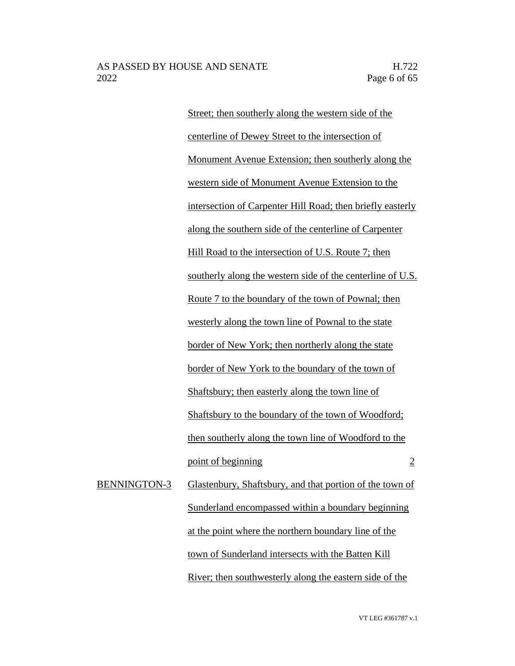Street; then southerly along the western side of the centerline of Dewey Street to the intersection of Monument Avenue Extension; then southerly along the western side of Monument Avenue Extension to the intersection of Carpenter Hill Road; then briefly easterly along the southern side of the centerline of Carpenter Hill Road to the intersection of U.S. Route 7; then southerly along the western side of the centerline of U.S. Route 7 to the boundary of the town of Pownal; then westerly along the town line of Pownal to the state border of New York; then northerly along the state border of New York to the boundary of the town of Shaftsbury; then easterly along the town line of Shaftsbury to the boundary of the town of Woodford; then southerly along the town line of Woodford to the point of beginning 2 BENNINGTON-3 Glastenbury, Shaftsbury, and that portion of the town of Sunderland encompassed within a boundary beginning at the point where the northern boundary line of the town of Sunderland intersects with the Batten Kill

River; then southwesterly along the eastern side of the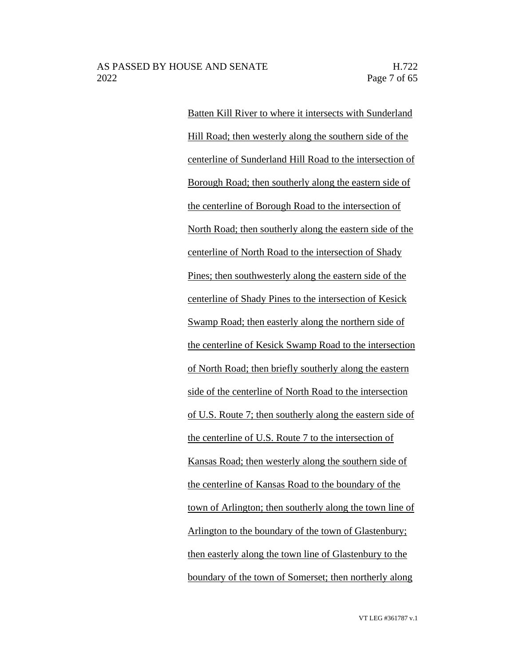Batten Kill River to where it intersects with Sunderland Hill Road; then westerly along the southern side of the centerline of Sunderland Hill Road to the intersection of Borough Road; then southerly along the eastern side of the centerline of Borough Road to the intersection of North Road; then southerly along the eastern side of the centerline of North Road to the intersection of Shady Pines; then southwesterly along the eastern side of the centerline of Shady Pines to the intersection of Kesick Swamp Road; then easterly along the northern side of the centerline of Kesick Swamp Road to the intersection of North Road; then briefly southerly along the eastern side of the centerline of North Road to the intersection of U.S. Route 7; then southerly along the eastern side of the centerline of U.S. Route 7 to the intersection of Kansas Road; then westerly along the southern side of the centerline of Kansas Road to the boundary of the town of Arlington; then southerly along the town line of Arlington to the boundary of the town of Glastenbury; then easterly along the town line of Glastenbury to the boundary of the town of Somerset; then northerly along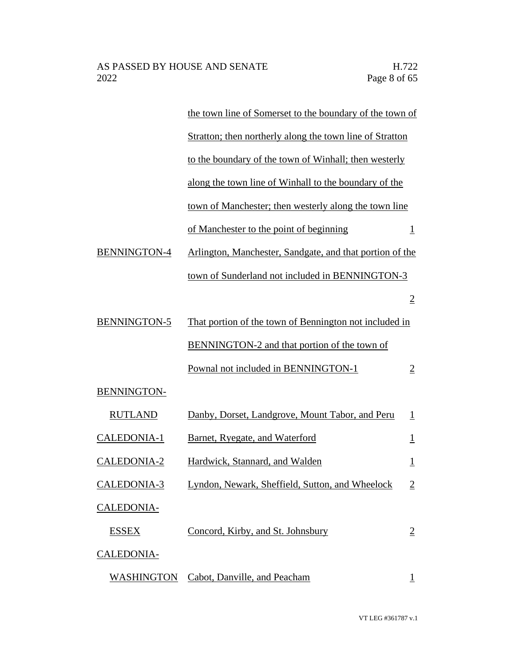|                     | the town line of Somerset to the boundary of the town of |                          |
|---------------------|----------------------------------------------------------|--------------------------|
|                     | Stratton; then northerly along the town line of Stratton |                          |
|                     | to the boundary of the town of Winhall; then westerly    |                          |
|                     | along the town line of Winhall to the boundary of the    |                          |
|                     | town of Manchester; then westerly along the town line    |                          |
|                     | of Manchester to the point of beginning                  | $\mathbf{\underline{1}}$ |
| <b>BENNINGTON-4</b> | Arlington, Manchester, Sandgate, and that portion of the |                          |
|                     | town of Sunderland not included in BENNINGTON-3          |                          |
|                     |                                                          | $\overline{2}$           |
| <b>BENNINGTON-5</b> | That portion of the town of Bennington not included in   |                          |
|                     | BENNINGTON-2 and that portion of the town of             |                          |
|                     | Pownal not included in BENNINGTON-1                      | $\overline{2}$           |
| <b>BENNINGTON-</b>  |                                                          |                          |
| <b>RUTLAND</b>      | Danby, Dorset, Landgrove, Mount Tabor, and Peru          | $\perp$                  |
| CALEDONIA-1         | <b>Barnet, Ryegate, and Waterford</b>                    | $\overline{1}$           |
| <b>CALEDONIA-2</b>  | Hardwick, Stannard, and Walden                           | $\overline{\mathbf{1}}$  |
| <b>CALEDONIA-3</b>  | Lyndon, Newark, Sheffield, Sutton, and Wheelock          | $\overline{2}$           |
| <b>CALEDONIA-</b>   |                                                          |                          |
| <b>ESSEX</b>        | Concord, Kirby, and St. Johnsbury                        | $\overline{2}$           |
| <b>CALEDONIA-</b>   |                                                          |                          |
| <b>WASHINGTON</b>   | Cabot, Danville, and Peacham                             | $\bf{l}$                 |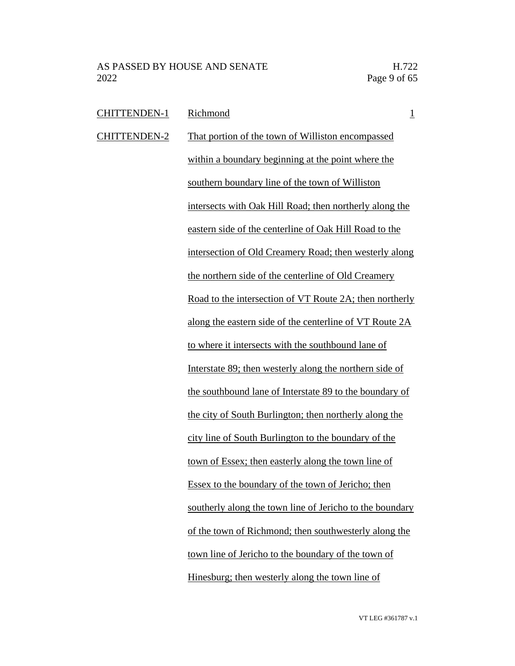| <b>CHITTENDEN-1</b> | Richmond<br>$\overline{1}$                               |
|---------------------|----------------------------------------------------------|
| <b>CHITTENDEN-2</b> | That portion of the town of Williston encompassed        |
|                     | within a boundary beginning at the point where the       |
|                     | southern boundary line of the town of Williston          |
|                     | intersects with Oak Hill Road; then northerly along the  |
|                     | eastern side of the centerline of Oak Hill Road to the   |
|                     | intersection of Old Creamery Road; then westerly along   |
|                     | the northern side of the centerline of Old Creamery      |
|                     | Road to the intersection of VT Route 2A; then northerly  |
|                     | along the eastern side of the centerline of VT Route 2A  |
|                     | to where it intersects with the southbound lane of       |
|                     | Interstate 89; then westerly along the northern side of  |
|                     | the southbound lane of Interstate 89 to the boundary of  |
|                     | the city of South Burlington; then northerly along the   |
|                     | city line of South Burlington to the boundary of the     |
|                     | town of Essex; then easterly along the town line of      |
|                     | Essex to the boundary of the town of Jericho; then       |
|                     | southerly along the town line of Jericho to the boundary |
|                     | of the town of Richmond; then southwesterly along the    |
|                     | town line of Jericho to the boundary of the town of      |
|                     | Hinesburg; then westerly along the town line of          |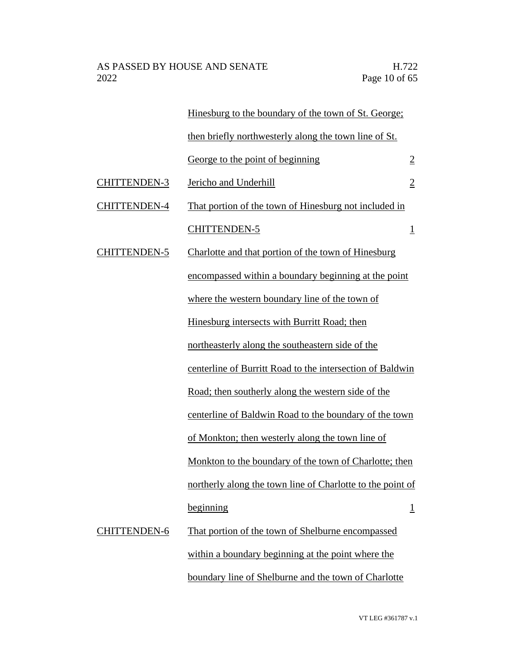|                     | Hinesburg to the boundary of the town of St. George;       |                |
|---------------------|------------------------------------------------------------|----------------|
|                     | then briefly northwesterly along the town line of St.      |                |
|                     | George to the point of beginning                           | $\overline{2}$ |
| <b>CHITTENDEN-3</b> | Jericho and Underhill                                      | $\overline{2}$ |
| <b>CHITTENDEN-4</b> | That portion of the town of Hinesburg not included in      |                |
|                     | <b>CHITTENDEN-5</b>                                        | $\overline{1}$ |
| <b>CHITTENDEN-5</b> | Charlotte and that portion of the town of Hinesburg        |                |
|                     | encompassed within a boundary beginning at the point       |                |
|                     | where the western boundary line of the town of             |                |
|                     | Hinesburg intersects with Burritt Road; then               |                |
|                     | northeasterly along the southeastern side of the           |                |
|                     | centerline of Burritt Road to the intersection of Baldwin  |                |
|                     | Road; then southerly along the western side of the         |                |
|                     | centerline of Baldwin Road to the boundary of the town     |                |
|                     | of Monkton; then westerly along the town line of           |                |
|                     | Monkton to the boundary of the town of Charlotte; then     |                |
|                     | northerly along the town line of Charlotte to the point of |                |
|                     | beginning                                                  | $\overline{1}$ |
| <b>CHITTENDEN-6</b> | That portion of the town of Shelburne encompassed          |                |
|                     | within a boundary beginning at the point where the         |                |
|                     | boundary line of Shelburne and the town of Charlotte       |                |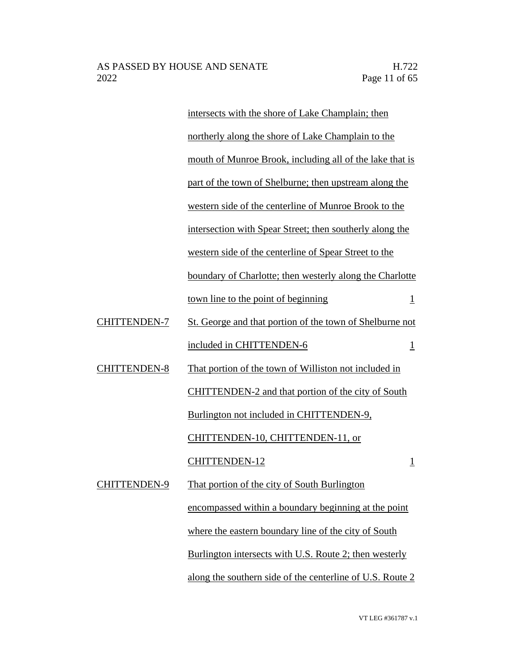intersects with the shore of Lake Champlain; then northerly along the shore of Lake Champlain to the mouth of Munroe Brook, including all of the lake that is part of the town of Shelburne; then upstream along the western side of the centerline of Munroe Brook to the intersection with Spear Street; then southerly along the western side of the centerline of Spear Street to the boundary of Charlotte; then westerly along the Charlotte town line to the point of beginning 1 CHITTENDEN-7 St. George and that portion of the town of Shelburne not included in CHITTENDEN-6 1 CHITTENDEN-8 That portion of the town of Williston not included in CHITTENDEN-2 and that portion of the city of South Burlington not included in CHITTENDEN-9, CHITTENDEN-10, CHITTENDEN-11, or CHITTENDEN-12 1 CHITTENDEN-9 That portion of the city of South Burlington encompassed within a boundary beginning at the point where the eastern boundary line of the city of South Burlington intersects with U.S. Route 2; then westerly along the southern side of the centerline of U.S. Route 2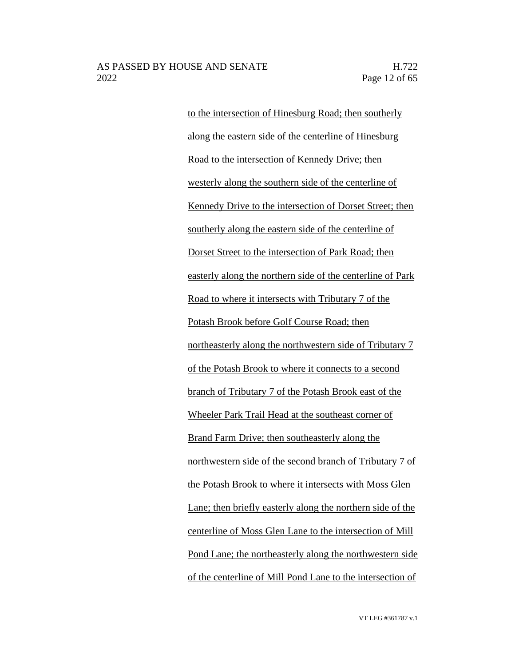to the intersection of Hinesburg Road; then southerly along the eastern side of the centerline of Hinesburg Road to the intersection of Kennedy Drive; then westerly along the southern side of the centerline of Kennedy Drive to the intersection of Dorset Street; then southerly along the eastern side of the centerline of Dorset Street to the intersection of Park Road; then easterly along the northern side of the centerline of Park Road to where it intersects with Tributary 7 of the Potash Brook before Golf Course Road; then northeasterly along the northwestern side of Tributary 7 of the Potash Brook to where it connects to a second branch of Tributary 7 of the Potash Brook east of the Wheeler Park Trail Head at the southeast corner of Brand Farm Drive; then southeasterly along the northwestern side of the second branch of Tributary 7 of the Potash Brook to where it intersects with Moss Glen Lane; then briefly easterly along the northern side of the centerline of Moss Glen Lane to the intersection of Mill Pond Lane; the northeasterly along the northwestern side of the centerline of Mill Pond Lane to the intersection of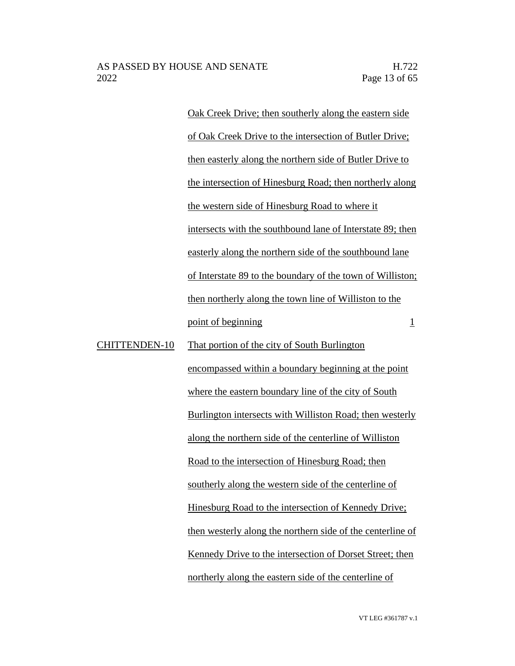Oak Creek Drive; then southerly along the eastern side of Oak Creek Drive to the intersection of Butler Drive; then easterly along the northern side of Butler Drive to the intersection of Hinesburg Road; then northerly along the western side of Hinesburg Road to where it intersects with the southbound lane of Interstate 89; then easterly along the northern side of the southbound lane of Interstate 89 to the boundary of the town of Williston; then northerly along the town line of Williston to the point of beginning  $\frac{1}{1}$ CHITTENDEN-10 That portion of the city of South Burlington encompassed within a boundary beginning at the point where the eastern boundary line of the city of South Burlington intersects with Williston Road; then westerly along the northern side of the centerline of Williston

Road to the intersection of Hinesburg Road; then

southerly along the western side of the centerline of Hinesburg Road to the intersection of Kennedy Drive; then westerly along the northern side of the centerline of Kennedy Drive to the intersection of Dorset Street; then northerly along the eastern side of the centerline of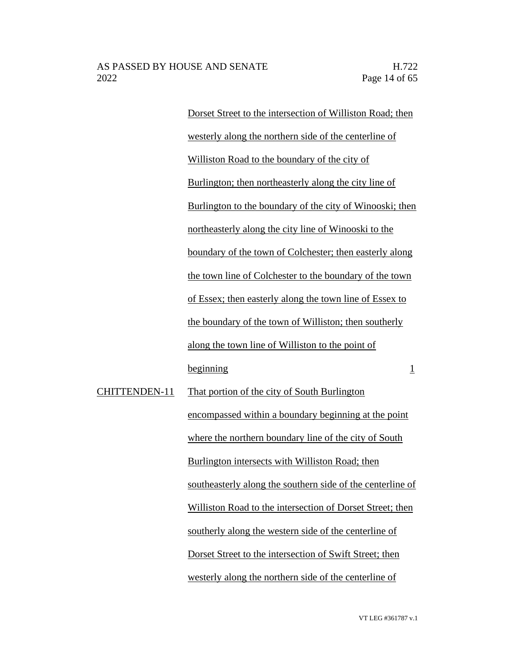Dorset Street to the intersection of Williston Road; then westerly along the northern side of the centerline of Williston Road to the boundary of the city of Burlington; then northeasterly along the city line of Burlington to the boundary of the city of Winooski; then northeasterly along the city line of Winooski to the boundary of the town of Colchester; then easterly along the town line of Colchester to the boundary of the town of Essex; then easterly along the town line of Essex to the boundary of the town of Williston; then southerly along the town line of Williston to the point of beginning 1

CHITTENDEN-11 That portion of the city of South Burlington encompassed within a boundary beginning at the point where the northern boundary line of the city of South Burlington intersects with Williston Road; then southeasterly along the southern side of the centerline of Williston Road to the intersection of Dorset Street; then southerly along the western side of the centerline of Dorset Street to the intersection of Swift Street; then westerly along the northern side of the centerline of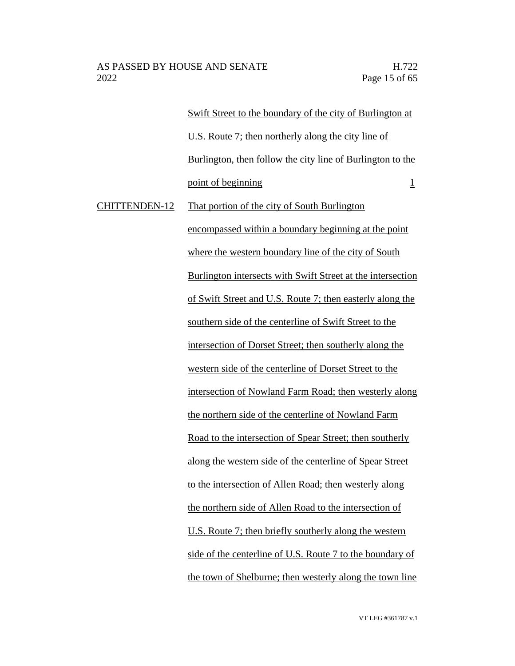Swift Street to the boundary of the city of Burlington at U.S. Route 7; then northerly along the city line of Burlington, then follow the city line of Burlington to the point of beginning 1 CHITTENDEN-12 That portion of the city of South Burlington encompassed within a boundary beginning at the point where the western boundary line of the city of South Burlington intersects with Swift Street at the intersection of Swift Street and U.S. Route 7; then easterly along the southern side of the centerline of Swift Street to the intersection of Dorset Street; then southerly along the western side of the centerline of Dorset Street to the intersection of Nowland Farm Road; then westerly along the northern side of the centerline of Nowland Farm Road to the intersection of Spear Street; then southerly along the western side of the centerline of Spear Street to the intersection of Allen Road; then westerly along the northern side of Allen Road to the intersection of U.S. Route 7; then briefly southerly along the western side of the centerline of U.S. Route 7 to the boundary of

the town of Shelburne; then westerly along the town line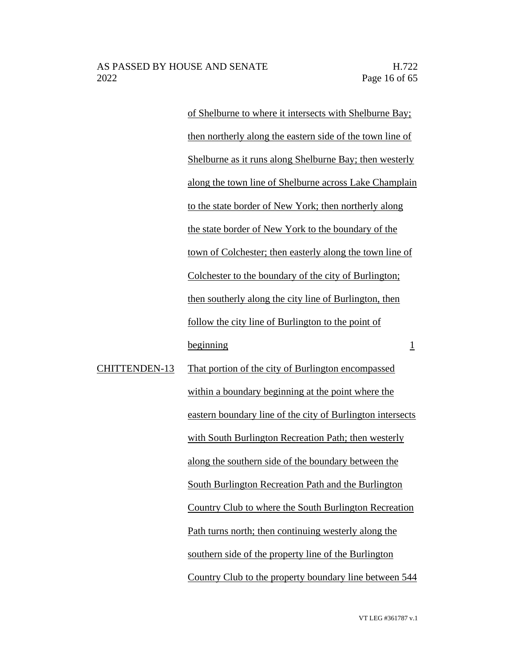of Shelburne to where it intersects with Shelburne Bay; then northerly along the eastern side of the town line of Shelburne as it runs along Shelburne Bay; then westerly along the town line of Shelburne across Lake Champlain to the state border of New York; then northerly along the state border of New York to the boundary of the town of Colchester; then easterly along the town line of Colchester to the boundary of the city of Burlington; then southerly along the city line of Burlington, then follow the city line of Burlington to the point of beginning 1

CHITTENDEN-13 That portion of the city of Burlington encompassed within a boundary beginning at the point where the eastern boundary line of the city of Burlington intersects with South Burlington Recreation Path; then westerly along the southern side of the boundary between the South Burlington Recreation Path and the Burlington Country Club to where the South Burlington Recreation Path turns north; then continuing westerly along the southern side of the property line of the Burlington Country Club to the property boundary line between 544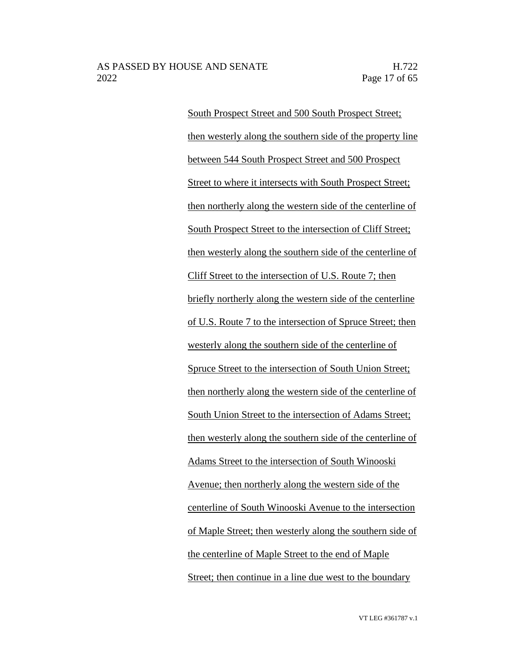South Prospect Street and 500 South Prospect Street; then westerly along the southern side of the property line between 544 South Prospect Street and 500 Prospect Street to where it intersects with South Prospect Street; then northerly along the western side of the centerline of South Prospect Street to the intersection of Cliff Street; then westerly along the southern side of the centerline of Cliff Street to the intersection of U.S. Route 7; then briefly northerly along the western side of the centerline of U.S. Route 7 to the intersection of Spruce Street; then westerly along the southern side of the centerline of Spruce Street to the intersection of South Union Street; then northerly along the western side of the centerline of South Union Street to the intersection of Adams Street; then westerly along the southern side of the centerline of Adams Street to the intersection of South Winooski Avenue; then northerly along the western side of the centerline of South Winooski Avenue to the intersection of Maple Street; then westerly along the southern side of the centerline of Maple Street to the end of Maple Street; then continue in a line due west to the boundary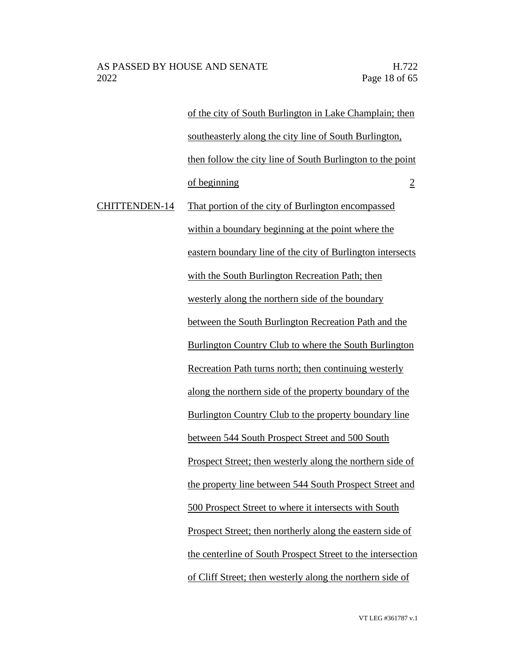of the city of South Burlington in Lake Champlain; then southeasterly along the city line of South Burlington, then follow the city line of South Burlington to the point  $\sigma$  beginning  $\sigma$  2

CHITTENDEN-14 That portion of the city of Burlington encompassed within a boundary beginning at the point where the eastern boundary line of the city of Burlington intersects with the South Burlington Recreation Path; then westerly along the northern side of the boundary between the South Burlington Recreation Path and the Burlington Country Club to where the South Burlington Recreation Path turns north; then continuing westerly along the northern side of the property boundary of the Burlington Country Club to the property boundary line between 544 South Prospect Street and 500 South Prospect Street; then westerly along the northern side of the property line between 544 South Prospect Street and 500 Prospect Street to where it intersects with South Prospect Street; then northerly along the eastern side of the centerline of South Prospect Street to the intersection of Cliff Street; then westerly along the northern side of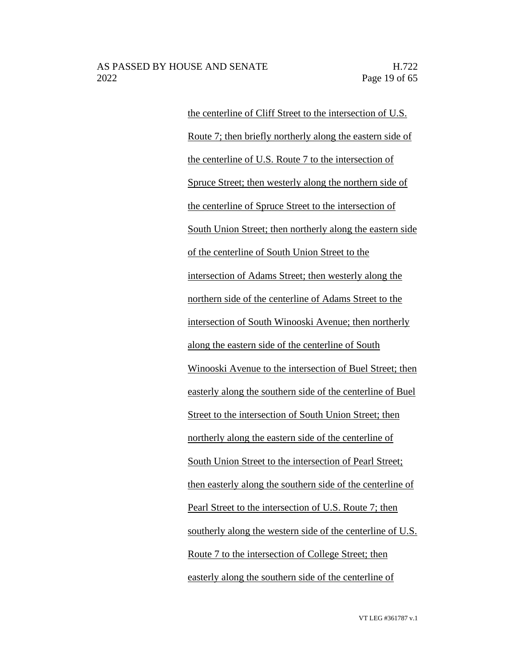the centerline of Cliff Street to the intersection of U.S. Route 7; then briefly northerly along the eastern side of the centerline of U.S. Route 7 to the intersection of Spruce Street; then westerly along the northern side of the centerline of Spruce Street to the intersection of South Union Street; then northerly along the eastern side of the centerline of South Union Street to the intersection of Adams Street; then westerly along the northern side of the centerline of Adams Street to the intersection of South Winooski Avenue; then northerly along the eastern side of the centerline of South Winooski Avenue to the intersection of Buel Street; then easterly along the southern side of the centerline of Buel Street to the intersection of South Union Street; then northerly along the eastern side of the centerline of South Union Street to the intersection of Pearl Street; then easterly along the southern side of the centerline of Pearl Street to the intersection of U.S. Route 7; then southerly along the western side of the centerline of U.S. Route 7 to the intersection of College Street; then easterly along the southern side of the centerline of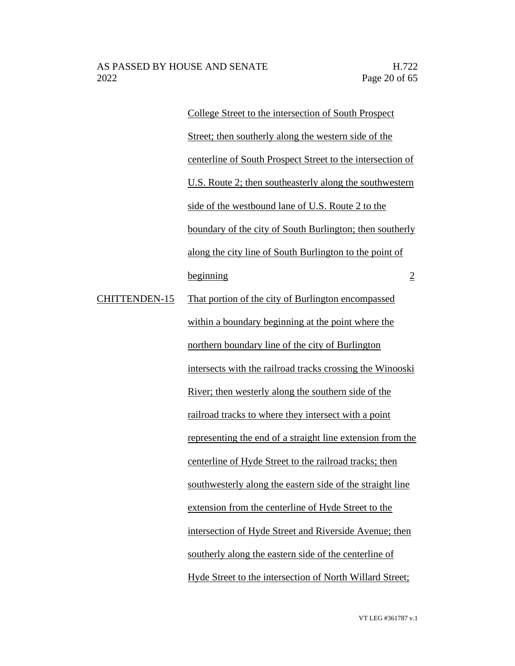College Street to the intersection of South Prospect Street; then southerly along the western side of the centerline of South Prospect Street to the intersection of U.S. Route 2; then southeasterly along the southwestern side of the westbound lane of U.S. Route 2 to the boundary of the city of South Burlington; then southerly along the city line of South Burlington to the point of beginning 2 CHITTENDEN-15 That portion of the city of Burlington encompassed within a boundary beginning at the point where the northern boundary line of the city of Burlington intersects with the railroad tracks crossing the Winooski River; then westerly along the southern side of the railroad tracks to where they intersect with a point representing the end of a straight line extension from the centerline of Hyde Street to the railroad tracks; then southwesterly along the eastern side of the straight line extension from the centerline of Hyde Street to the intersection of Hyde Street and Riverside Avenue; then southerly along the eastern side of the centerline of Hyde Street to the intersection of North Willard Street;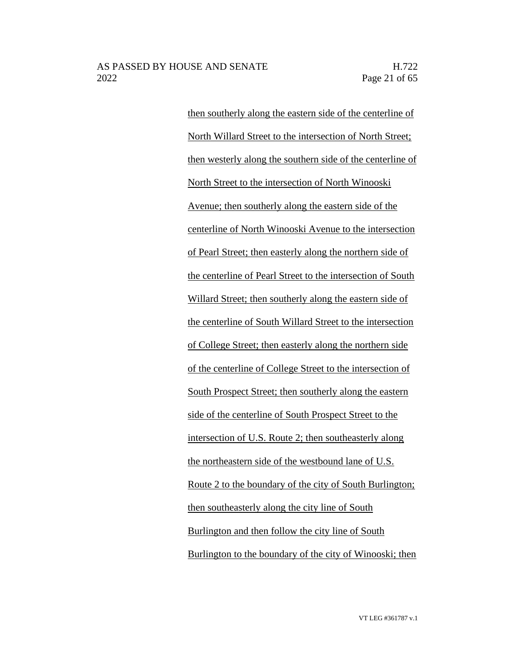then southerly along the eastern side of the centerline of North Willard Street to the intersection of North Street; then westerly along the southern side of the centerline of North Street to the intersection of North Winooski Avenue; then southerly along the eastern side of the centerline of North Winooski Avenue to the intersection of Pearl Street; then easterly along the northern side of the centerline of Pearl Street to the intersection of South Willard Street; then southerly along the eastern side of the centerline of South Willard Street to the intersection of College Street; then easterly along the northern side of the centerline of College Street to the intersection of South Prospect Street; then southerly along the eastern side of the centerline of South Prospect Street to the intersection of U.S. Route 2; then southeasterly along the northeastern side of the westbound lane of U.S. Route 2 to the boundary of the city of South Burlington; then southeasterly along the city line of South Burlington and then follow the city line of South Burlington to the boundary of the city of Winooski; then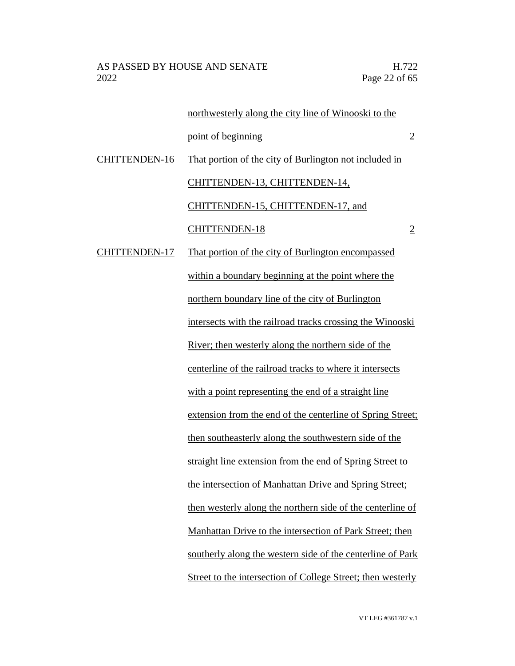|                      | northwesterly along the city line of Winooski to the        |                |
|----------------------|-------------------------------------------------------------|----------------|
|                      | point of beginning                                          | $\overline{2}$ |
| CHITTENDEN-16        | That portion of the city of Burlington not included in      |                |
|                      | CHITTENDEN-13, CHITTENDEN-14,                               |                |
|                      | CHITTENDEN-15, CHITTENDEN-17, and                           |                |
|                      | <b>CHITTENDEN-18</b>                                        | $\overline{2}$ |
| <b>CHITTENDEN-17</b> | That portion of the city of Burlington encompassed          |                |
|                      | within a boundary beginning at the point where the          |                |
|                      | northern boundary line of the city of Burlington            |                |
|                      | intersects with the railroad tracks crossing the Winooski   |                |
|                      | River; then westerly along the northern side of the         |                |
|                      | centerline of the railroad tracks to where it intersects    |                |
|                      | with a point representing the end of a straight line        |                |
|                      | extension from the end of the centerline of Spring Street;  |                |
|                      | then southeasterly along the southwestern side of the       |                |
|                      | straight line extension from the end of Spring Street to    |                |
|                      | the intersection of Manhattan Drive and Spring Street;      |                |
|                      | then westerly along the northern side of the centerline of  |                |
|                      | Manhattan Drive to the intersection of Park Street; then    |                |
|                      | southerly along the western side of the centerline of Park  |                |
|                      | Street to the intersection of College Street; then westerly |                |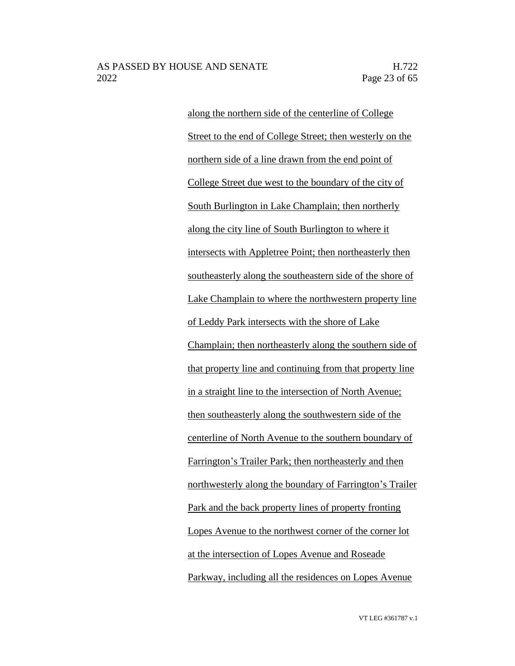along the northern side of the centerline of College Street to the end of College Street; then westerly on the northern side of a line drawn from the end point of College Street due west to the boundary of the city of South Burlington in Lake Champlain; then northerly along the city line of South Burlington to where it intersects with Appletree Point; then northeasterly then southeasterly along the southeastern side of the shore of Lake Champlain to where the northwestern property line of Leddy Park intersects with the shore of Lake Champlain; then northeasterly along the southern side of that property line and continuing from that property line in a straight line to the intersection of North Avenue; then southeasterly along the southwestern side of the centerline of North Avenue to the southern boundary of Farrington's Trailer Park; then northeasterly and then northwesterly along the boundary of Farrington's Trailer Park and the back property lines of property fronting Lopes Avenue to the northwest corner of the corner lot at the intersection of Lopes Avenue and Roseade Parkway, including all the residences on Lopes Avenue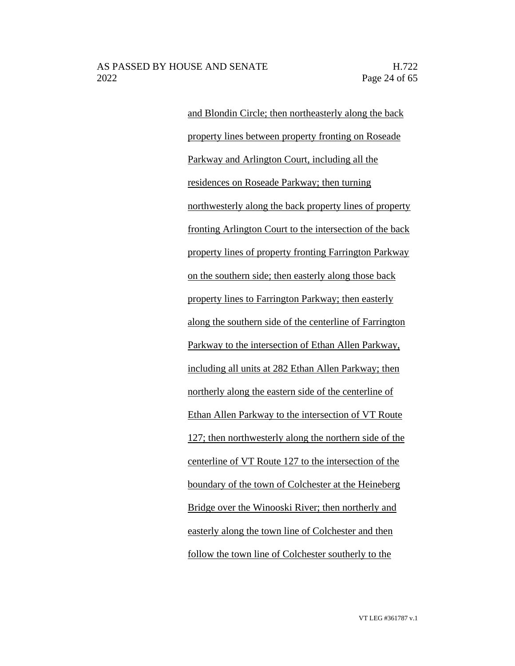and Blondin Circle; then northeasterly along the back property lines between property fronting on Roseade Parkway and Arlington Court, including all the residences on Roseade Parkway; then turning northwesterly along the back property lines of property fronting Arlington Court to the intersection of the back property lines of property fronting Farrington Parkway on the southern side; then easterly along those back property lines to Farrington Parkway; then easterly along the southern side of the centerline of Farrington Parkway to the intersection of Ethan Allen Parkway, including all units at 282 Ethan Allen Parkway; then northerly along the eastern side of the centerline of Ethan Allen Parkway to the intersection of VT Route 127; then northwesterly along the northern side of the centerline of VT Route 127 to the intersection of the boundary of the town of Colchester at the Heineberg Bridge over the Winooski River; then northerly and easterly along the town line of Colchester and then follow the town line of Colchester southerly to the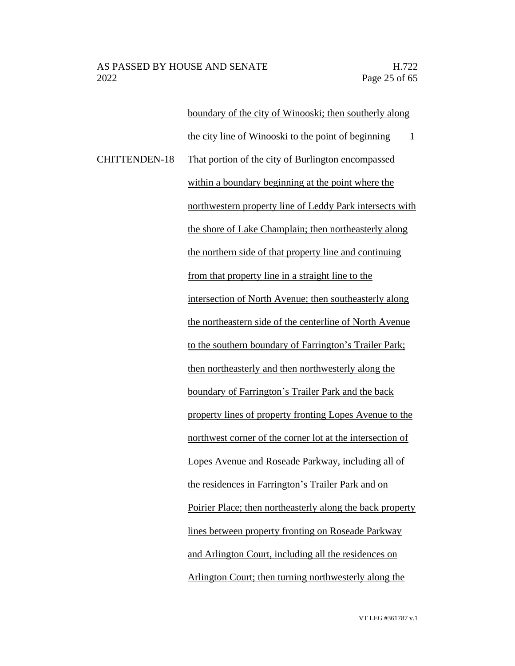boundary of the city of Winooski; then southerly along the city line of Winooski to the point of beginning  $1$ CHITTENDEN-18 That portion of the city of Burlington encompassed within a boundary beginning at the point where the northwestern property line of Leddy Park intersects with the shore of Lake Champlain; then northeasterly along the northern side of that property line and continuing from that property line in a straight line to the intersection of North Avenue; then southeasterly along the northeastern side of the centerline of North Avenue to the southern boundary of Farrington's Trailer Park; then northeasterly and then northwesterly along the boundary of Farrington's Trailer Park and the back property lines of property fronting Lopes Avenue to the northwest corner of the corner lot at the intersection of Lopes Avenue and Roseade Parkway, including all of the residences in Farrington's Trailer Park and on Poirier Place; then northeasterly along the back property lines between property fronting on Roseade Parkway and Arlington Court, including all the residences on Arlington Court; then turning northwesterly along the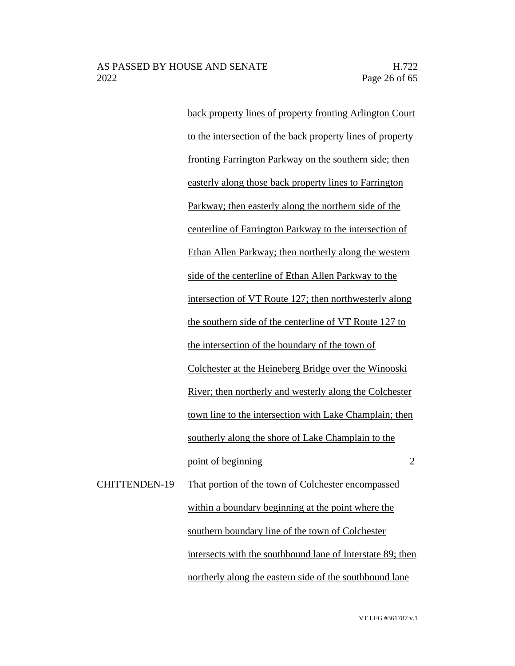back property lines of property fronting Arlington Court to the intersection of the back property lines of property fronting Farrington Parkway on the southern side; then easterly along those back property lines to Farrington Parkway; then easterly along the northern side of the centerline of Farrington Parkway to the intersection of Ethan Allen Parkway; then northerly along the western side of the centerline of Ethan Allen Parkway to the intersection of VT Route 127; then northwesterly along the southern side of the centerline of VT Route 127 to the intersection of the boundary of the town of Colchester at the Heineberg Bridge over the Winooski River; then northerly and westerly along the Colchester town line to the intersection with Lake Champlain; then southerly along the shore of Lake Champlain to the point of beginning 2 CHITTENDEN-19 That portion of the town of Colchester encompassed within a boundary beginning at the point where the

> intersects with the southbound lane of Interstate 89; then northerly along the eastern side of the southbound lane

southern boundary line of the town of Colchester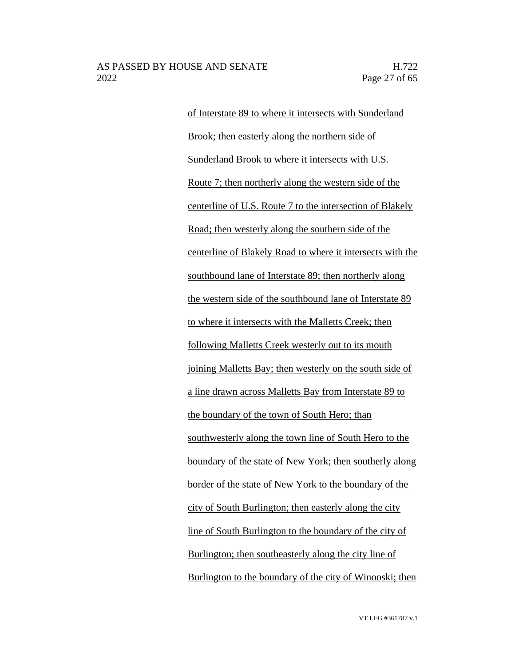of Interstate 89 to where it intersects with Sunderland Brook; then easterly along the northern side of Sunderland Brook to where it intersects with U.S. Route 7; then northerly along the western side of the centerline of U.S. Route 7 to the intersection of Blakely Road; then westerly along the southern side of the centerline of Blakely Road to where it intersects with the southbound lane of Interstate 89; then northerly along the western side of the southbound lane of Interstate 89 to where it intersects with the Malletts Creek; then following Malletts Creek westerly out to its mouth joining Malletts Bay; then westerly on the south side of a line drawn across Malletts Bay from Interstate 89 to the boundary of the town of South Hero; than southwesterly along the town line of South Hero to the boundary of the state of New York; then southerly along border of the state of New York to the boundary of the city of South Burlington; then easterly along the city line of South Burlington to the boundary of the city of Burlington; then southeasterly along the city line of Burlington to the boundary of the city of Winooski; then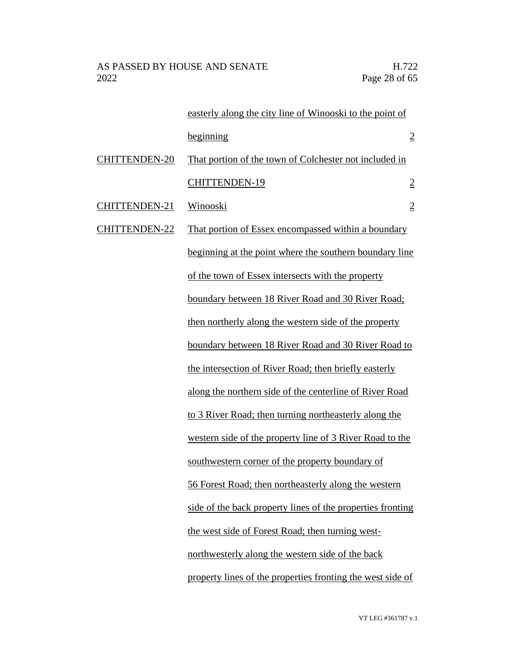|                      | easterly along the city line of Winooski to the point of   |                |
|----------------------|------------------------------------------------------------|----------------|
|                      | beginning                                                  | $\overline{2}$ |
| <b>CHITTENDEN-20</b> | That portion of the town of Colchester not included in     |                |
|                      | <b>CHITTENDEN-19</b>                                       | $\overline{2}$ |
| CHITTENDEN-21        | Winooski                                                   | $\overline{2}$ |
| CHITTENDEN-22        | That portion of Essex encompassed within a boundary        |                |
|                      | beginning at the point where the southern boundary line    |                |
|                      | of the town of Essex intersects with the property          |                |
|                      | boundary between 18 River Road and 30 River Road;          |                |
|                      | then northerly along the western side of the property      |                |
|                      | boundary between 18 River Road and 30 River Road to        |                |
|                      | the intersection of River Road; then briefly easterly      |                |
|                      | along the northern side of the centerline of River Road    |                |
|                      | to 3 River Road; then turning northeasterly along the      |                |
|                      | western side of the property line of 3 River Road to the   |                |
|                      | southwestern corner of the property boundary of            |                |
|                      | 56 Forest Road; then northeasterly along the western       |                |
|                      | side of the back property lines of the properties fronting |                |
|                      | the west side of Forest Road; then turning west-           |                |
|                      | northwesterly along the western side of the back           |                |
|                      | property lines of the properties fronting the west side of |                |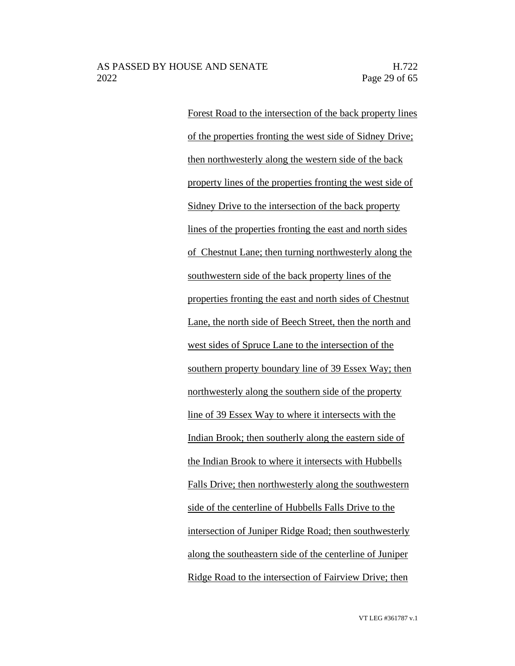Forest Road to the intersection of the back property lines of the properties fronting the west side of Sidney Drive; then northwesterly along the western side of the back property lines of the properties fronting the west side of Sidney Drive to the intersection of the back property lines of the properties fronting the east and north sides of Chestnut Lane; then turning northwesterly along the southwestern side of the back property lines of the properties fronting the east and north sides of Chestnut Lane, the north side of Beech Street, then the north and west sides of Spruce Lane to the intersection of the southern property boundary line of 39 Essex Way; then northwesterly along the southern side of the property line of 39 Essex Way to where it intersects with the Indian Brook; then southerly along the eastern side of the Indian Brook to where it intersects with Hubbells Falls Drive; then northwesterly along the southwestern side of the centerline of Hubbells Falls Drive to the intersection of Juniper Ridge Road; then southwesterly along the southeastern side of the centerline of Juniper Ridge Road to the intersection of Fairview Drive; then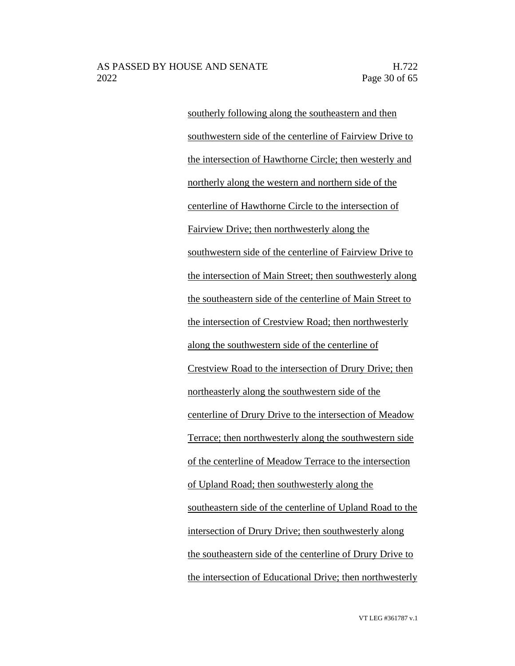southerly following along the southeastern and then southwestern side of the centerline of Fairview Drive to the intersection of Hawthorne Circle; then westerly and northerly along the western and northern side of the centerline of Hawthorne Circle to the intersection of Fairview Drive; then northwesterly along the southwestern side of the centerline of Fairview Drive to the intersection of Main Street; then southwesterly along the southeastern side of the centerline of Main Street to the intersection of Crestview Road; then northwesterly along the southwestern side of the centerline of Crestview Road to the intersection of Drury Drive; then northeasterly along the southwestern side of the centerline of Drury Drive to the intersection of Meadow Terrace; then northwesterly along the southwestern side of the centerline of Meadow Terrace to the intersection of Upland Road; then southwesterly along the southeastern side of the centerline of Upland Road to the intersection of Drury Drive; then southwesterly along the southeastern side of the centerline of Drury Drive to the intersection of Educational Drive; then northwesterly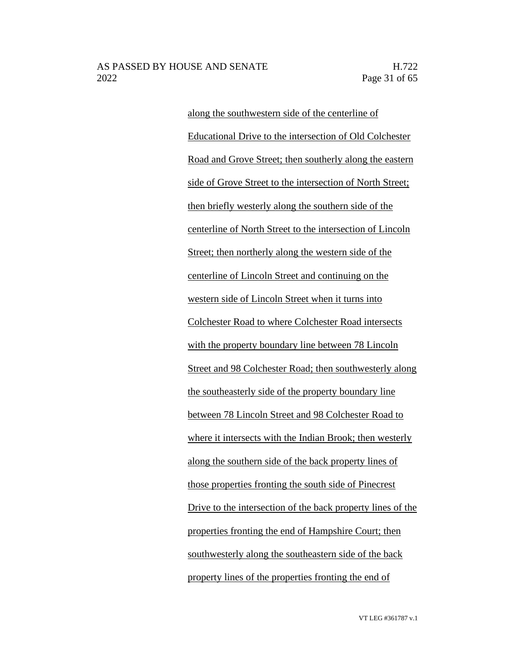along the southwestern side of the centerline of Educational Drive to the intersection of Old Colchester Road and Grove Street; then southerly along the eastern side of Grove Street to the intersection of North Street; then briefly westerly along the southern side of the centerline of North Street to the intersection of Lincoln Street; then northerly along the western side of the centerline of Lincoln Street and continuing on the western side of Lincoln Street when it turns into Colchester Road to where Colchester Road intersects with the property boundary line between 78 Lincoln Street and 98 Colchester Road; then southwesterly along the southeasterly side of the property boundary line between 78 Lincoln Street and 98 Colchester Road to where it intersects with the Indian Brook; then westerly along the southern side of the back property lines of those properties fronting the south side of Pinecrest Drive to the intersection of the back property lines of the properties fronting the end of Hampshire Court; then southwesterly along the southeastern side of the back property lines of the properties fronting the end of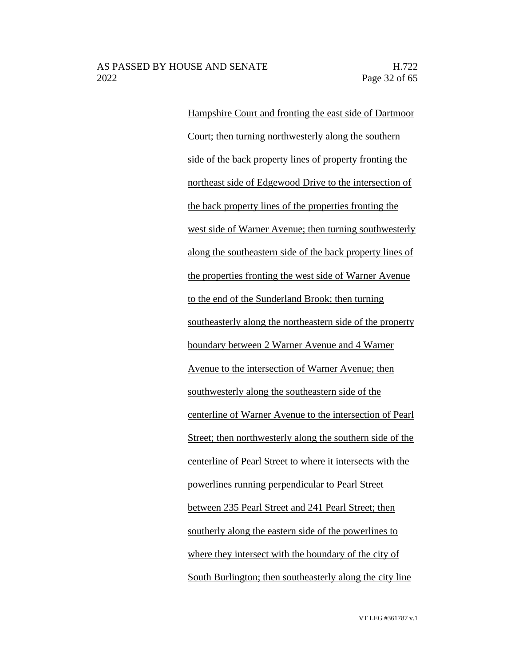Hampshire Court and fronting the east side of Dartmoor Court; then turning northwesterly along the southern side of the back property lines of property fronting the northeast side of Edgewood Drive to the intersection of the back property lines of the properties fronting the west side of Warner Avenue; then turning southwesterly along the southeastern side of the back property lines of the properties fronting the west side of Warner Avenue to the end of the Sunderland Brook; then turning southeasterly along the northeastern side of the property boundary between 2 Warner Avenue and 4 Warner Avenue to the intersection of Warner Avenue; then southwesterly along the southeastern side of the centerline of Warner Avenue to the intersection of Pearl Street; then northwesterly along the southern side of the centerline of Pearl Street to where it intersects with the powerlines running perpendicular to Pearl Street between 235 Pearl Street and 241 Pearl Street; then southerly along the eastern side of the powerlines to where they intersect with the boundary of the city of South Burlington; then southeasterly along the city line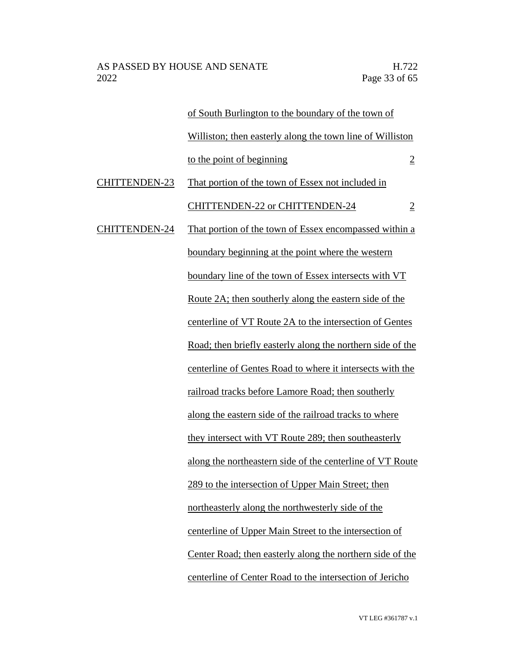|                      | of South Burlington to the boundary of the town of            |                |
|----------------------|---------------------------------------------------------------|----------------|
|                      | Williston; then easterly along the town line of Williston     |                |
|                      | to the point of beginning                                     | $\overline{2}$ |
| <b>CHITTENDEN-23</b> | That portion of the town of Essex not included in             |                |
|                      | <b>CHITTENDEN-22 or CHITTENDEN-24</b>                         | $\overline{2}$ |
| <b>CHITTENDEN-24</b> | That portion of the town of Essex encompassed within a        |                |
|                      | boundary beginning at the point where the western             |                |
|                      | boundary line of the town of Essex intersects with VT         |                |
|                      | <u>Route 2A; then southerly along the eastern side of the</u> |                |
|                      | centerline of VT Route 2A to the intersection of Gentes       |                |
|                      | Road; then briefly easterly along the northern side of the    |                |
|                      | centerline of Gentes Road to where it intersects with the     |                |
|                      | railroad tracks before Lamore Road; then southerly            |                |
|                      | along the eastern side of the railroad tracks to where        |                |
|                      | they intersect with VT Route 289; then southeasterly          |                |
|                      | along the northeastern side of the centerline of VT Route     |                |
|                      | 289 to the intersection of Upper Main Street; then            |                |
|                      | northeasterly along the northwesterly side of the             |                |
|                      | centerline of Upper Main Street to the intersection of        |                |
|                      | Center Road; then easterly along the northern side of the     |                |
|                      | centerline of Center Road to the intersection of Jericho      |                |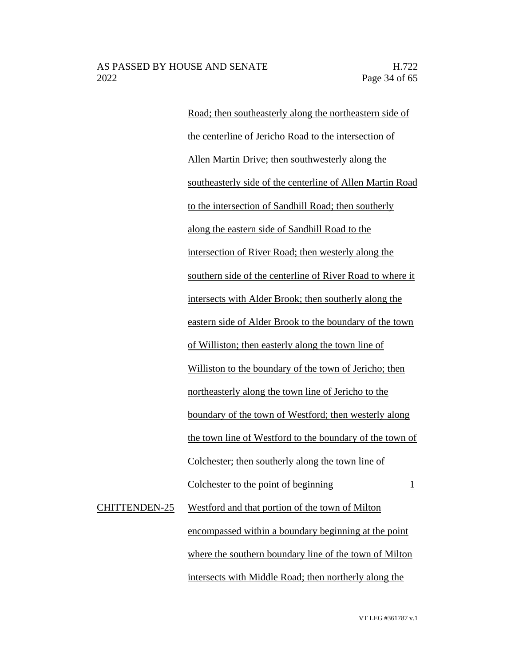Road; then southeasterly along the northeastern side of the centerline of Jericho Road to the intersection of Allen Martin Drive; then southwesterly along the southeasterly side of the centerline of Allen Martin Road to the intersection of Sandhill Road; then southerly along the eastern side of Sandhill Road to the intersection of River Road; then westerly along the southern side of the centerline of River Road to where it intersects with Alder Brook; then southerly along the eastern side of Alder Brook to the boundary of the town of Williston; then easterly along the town line of Williston to the boundary of the town of Jericho; then northeasterly along the town line of Jericho to the boundary of the town of Westford; then westerly along the town line of Westford to the boundary of the town of Colchester; then southerly along the town line of Colchester to the point of beginning 1 CHITTENDEN-25 Westford and that portion of the town of Milton encompassed within a boundary beginning at the point

intersects with Middle Road; then northerly along the

where the southern boundary line of the town of Milton

VT LEG #361787 v.1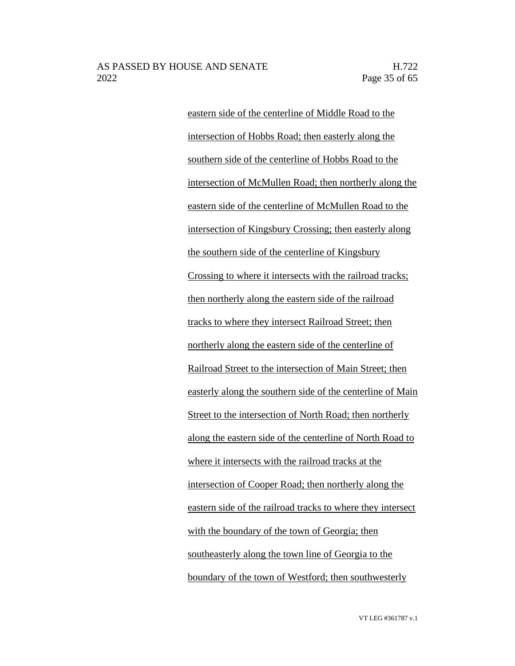eastern side of the centerline of Middle Road to the intersection of Hobbs Road; then easterly along the southern side of the centerline of Hobbs Road to the intersection of McMullen Road; then northerly along the eastern side of the centerline of McMullen Road to the intersection of Kingsbury Crossing; then easterly along the southern side of the centerline of Kingsbury Crossing to where it intersects with the railroad tracks; then northerly along the eastern side of the railroad tracks to where they intersect Railroad Street; then northerly along the eastern side of the centerline of Railroad Street to the intersection of Main Street; then easterly along the southern side of the centerline of Main Street to the intersection of North Road; then northerly along the eastern side of the centerline of North Road to where it intersects with the railroad tracks at the intersection of Cooper Road; then northerly along the eastern side of the railroad tracks to where they intersect with the boundary of the town of Georgia; then southeasterly along the town line of Georgia to the boundary of the town of Westford; then southwesterly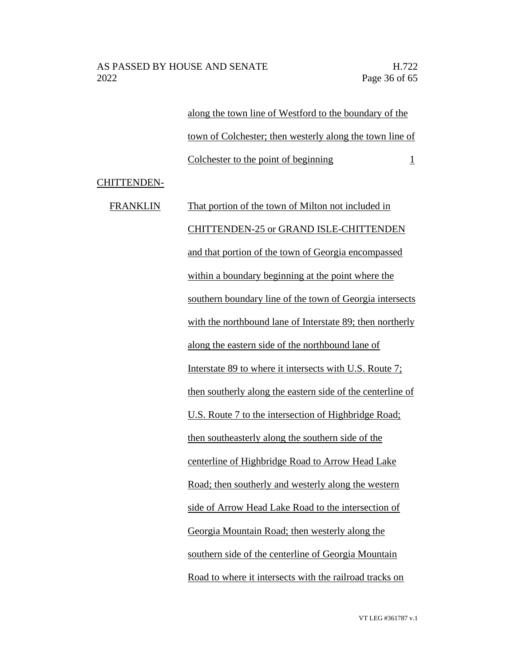along the town line of Westford to the boundary of the town of Colchester; then westerly along the town line of Colchester to the point of beginning 1

CHITTENDEN-

FRANKLIN That portion of the town of Milton not included in CHITTENDEN-25 or GRAND ISLE-CHITTENDEN and that portion of the town of Georgia encompassed within a boundary beginning at the point where the southern boundary line of the town of Georgia intersects with the northbound lane of Interstate 89; then northerly along the eastern side of the northbound lane of Interstate 89 to where it intersects with U.S. Route 7; then southerly along the eastern side of the centerline of U.S. Route 7 to the intersection of Highbridge Road; then southeasterly along the southern side of the centerline of Highbridge Road to Arrow Head Lake Road; then southerly and westerly along the western side of Arrow Head Lake Road to the intersection of Georgia Mountain Road; then westerly along the southern side of the centerline of Georgia Mountain Road to where it intersects with the railroad tracks on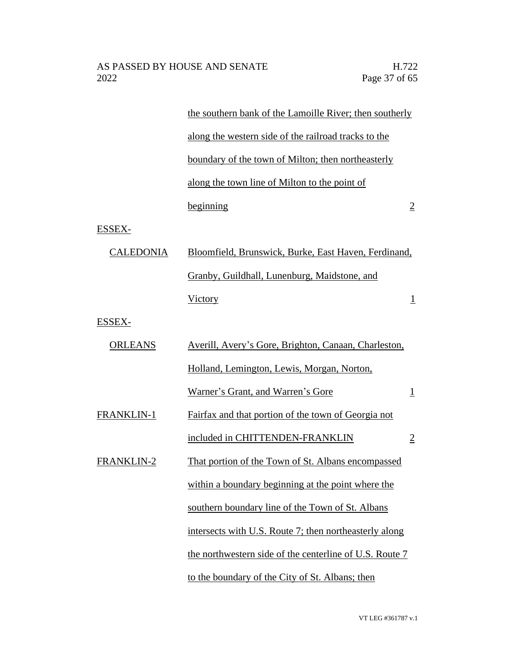|                   | the southern bank of the Lamoille River; then southerly |                |
|-------------------|---------------------------------------------------------|----------------|
|                   | along the western side of the railroad tracks to the    |                |
|                   | boundary of the town of Milton; then northeasterly      |                |
|                   | along the town line of Milton to the point of           |                |
|                   | beginning                                               | $\overline{2}$ |
| ESSEX-            |                                                         |                |
| <b>CALEDONIA</b>  | Bloomfield, Brunswick, Burke, East Haven, Ferdinand,    |                |
|                   | Granby, Guildhall, Lunenburg, Maidstone, and            |                |
|                   | <b>Victory</b>                                          | $\overline{1}$ |
| <b>ESSEX-</b>     |                                                         |                |
| <b>ORLEANS</b>    | Averill, Avery's Gore, Brighton, Canaan, Charleston,    |                |
|                   | Holland, Lemington, Lewis, Morgan, Norton,              |                |
|                   | Warner's Grant, and Warren's Gore                       | $\mathbf{1}$   |
| <b>FRANKLIN-1</b> | Fairfax and that portion of the town of Georgia not     |                |
|                   | included in CHITTENDEN-FRANKLIN                         | $\overline{2}$ |
| <b>FRANKLIN-2</b> | That portion of the Town of St. Albans encompassed      |                |
|                   | within a boundary beginning at the point where the      |                |
|                   | southern boundary line of the Town of St. Albans        |                |
|                   | intersects with U.S. Route 7; then northeasterly along  |                |
|                   | the northwestern side of the centerline of U.S. Route 7 |                |
|                   | to the boundary of the City of St. Albans; then         |                |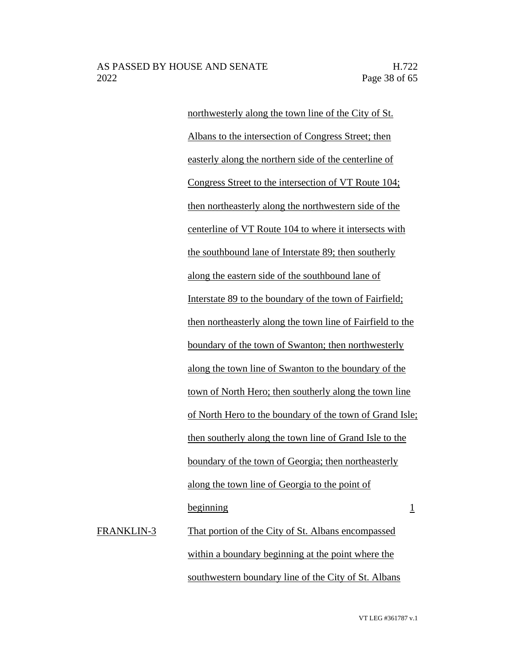northwesterly along the town line of the City of St. Albans to the intersection of Congress Street; then easterly along the northern side of the centerline of Congress Street to the intersection of VT Route 104; then northeasterly along the northwestern side of the centerline of VT Route 104 to where it intersects with the southbound lane of Interstate 89; then southerly along the eastern side of the southbound lane of Interstate 89 to the boundary of the town of Fairfield; then northeasterly along the town line of Fairfield to the boundary of the town of Swanton; then northwesterly along the town line of Swanton to the boundary of the town of North Hero; then southerly along the town line of North Hero to the boundary of the town of Grand Isle; then southerly along the town line of Grand Isle to the boundary of the town of Georgia; then northeasterly along the town line of Georgia to the point of beginning 1 FRANKLIN-3 That portion of the City of St. Albans encompassed within a boundary beginning at the point where the

southwestern boundary line of the City of St. Albans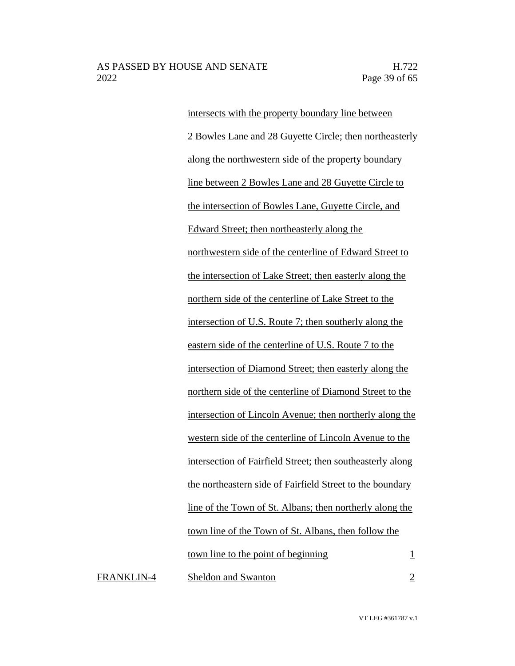intersects with the property boundary line between 2 Bowles Lane and 28 Guyette Circle; then northeasterly along the northwestern side of the property boundary line between 2 Bowles Lane and 28 Guyette Circle to the intersection of Bowles Lane, Guyette Circle, and Edward Street; then northeasterly along the northwestern side of the centerline of Edward Street to the intersection of Lake Street; then easterly along the northern side of the centerline of Lake Street to the intersection of U.S. Route 7; then southerly along the eastern side of the centerline of U.S. Route 7 to the intersection of Diamond Street; then easterly along the northern side of the centerline of Diamond Street to the intersection of Lincoln Avenue; then northerly along the western side of the centerline of Lincoln Avenue to the intersection of Fairfield Street; then southeasterly along the northeastern side of Fairfield Street to the boundary line of the Town of St. Albans; then northerly along the town line of the Town of St. Albans, then follow the town line to the point of beginning  $1$ FRANKLIN-4 Sheldon and Swanton 2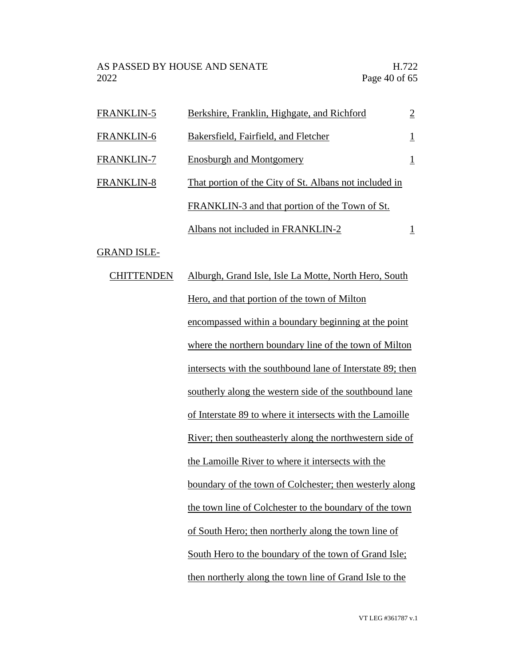AS PASSED BY HOUSE AND SENATE H.722<br>2022 Page 40 of 65

| <b>FRANKLIN-5</b> | Berkshire, Franklin, Highgate, and Richford            | $\overline{2}$ |
|-------------------|--------------------------------------------------------|----------------|
| FRANKLIN-6        | Bakersfield, Fairfield, and Fletcher                   | $\overline{1}$ |
| <b>FRANKLIN-7</b> | <b>Enosburgh and Montgomery</b>                        |                |
| <b>FRANKLIN-8</b> | That portion of the City of St. Albans not included in |                |
|                   | FRANKLIN-3 and that portion of the Town of St.         |                |
|                   | Albans not included in FRANKLIN-2                      |                |

GRAND ISLE-

| <b>CHITTENDEN</b> | Alburgh, Grand Isle, Isle La Motte, North Hero, South            |
|-------------------|------------------------------------------------------------------|
|                   | Hero, and that portion of the town of Milton                     |
|                   | encompassed within a boundary beginning at the point             |
|                   | where the northern boundary line of the town of Milton           |
|                   | intersects with the southbound lane of Interstate 89; then       |
|                   | southerly along the western side of the southbound lane          |
|                   | of Interstate 89 to where it intersects with the Lamoille        |
|                   | <u>River</u> ; then southeasterly along the northwestern side of |
|                   | the Lamoille River to where it intersects with the               |
|                   | boundary of the town of Colchester; then westerly along          |
|                   | the town line of Colchester to the boundary of the town          |
|                   | of South Hero; then northerly along the town line of             |
|                   | South Hero to the boundary of the town of Grand Isle;            |
|                   | then northerly along the town line of Grand Isle to the          |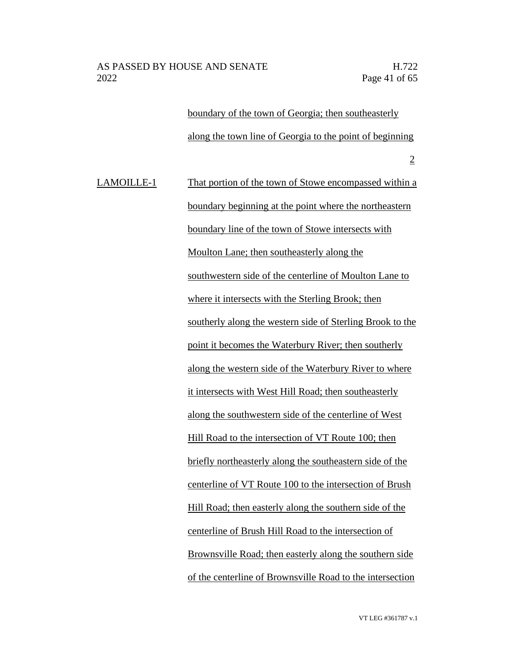boundary of the town of Georgia; then southeasterly along the town line of Georgia to the point of beginning 2

LAMOILLE-1 That portion of the town of Stowe encompassed within a boundary beginning at the point where the northeastern boundary line of the town of Stowe intersects with Moulton Lane; then southeasterly along the southwestern side of the centerline of Moulton Lane to where it intersects with the Sterling Brook; then southerly along the western side of Sterling Brook to the point it becomes the Waterbury River; then southerly along the western side of the Waterbury River to where it intersects with West Hill Road; then southeasterly along the southwestern side of the centerline of West Hill Road to the intersection of VT Route 100; then briefly northeasterly along the southeastern side of the centerline of VT Route 100 to the intersection of Brush Hill Road; then easterly along the southern side of the centerline of Brush Hill Road to the intersection of Brownsville Road; then easterly along the southern side of the centerline of Brownsville Road to the intersection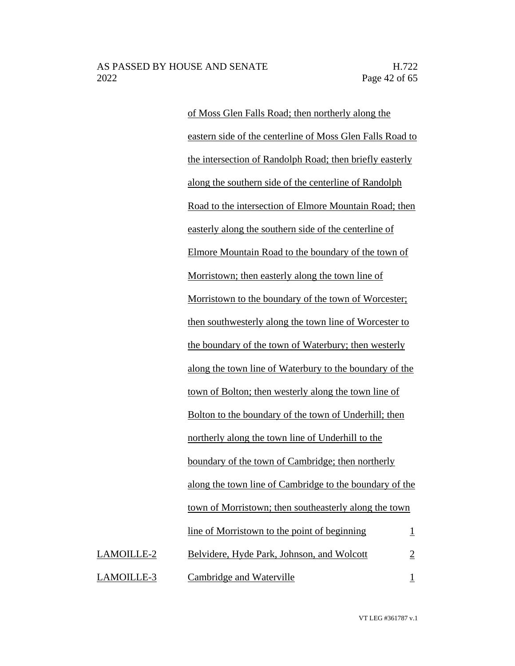of Moss Glen Falls Road; then northerly along the eastern side of the centerline of Moss Glen Falls Road to the intersection of Randolph Road; then briefly easterly along the southern side of the centerline of Randolph Road to the intersection of Elmore Mountain Road; then easterly along the southern side of the centerline of Elmore Mountain Road to the boundary of the town of Morristown; then easterly along the town line of Morristown to the boundary of the town of Worcester; then southwesterly along the town line of Worcester to the boundary of the town of Waterbury; then westerly along the town line of Waterbury to the boundary of the town of Bolton; then westerly along the town line of Bolton to the boundary of the town of Underhill; then northerly along the town line of Underhill to the boundary of the town of Cambridge; then northerly along the town line of Cambridge to the boundary of the town of Morristown; then southeasterly along the town line of Morristown to the point of beginning  $1$ LAMOILLE-2 Belvidere, Hyde Park, Johnson, and Wolcott 2 LAMOILLE-3 Cambridge and Waterville 1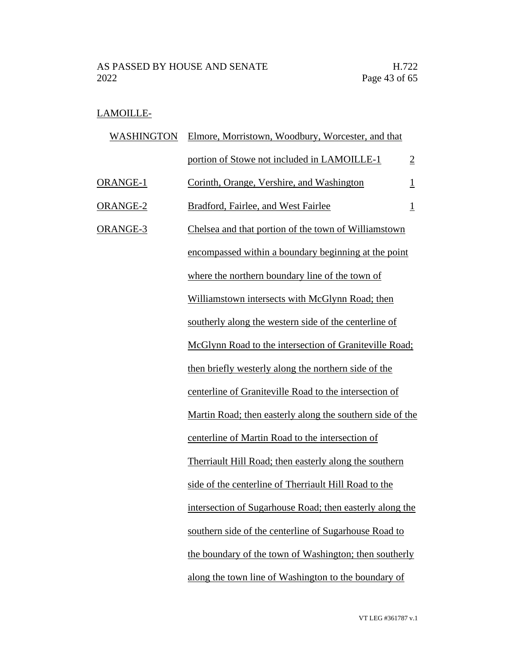# LAMOILLE-

| WASHINGTON | Elmore, Morristown, Woodbury, Worcester, and that             |                |
|------------|---------------------------------------------------------------|----------------|
|            | portion of Stowe not included in LAMOILLE-1                   | $\overline{2}$ |
| ORANGE-1   | Corinth, Orange, Vershire, and Washington                     | $\overline{1}$ |
| ORANGE-2   | Bradford, Fairlee, and West Fairlee                           | $\overline{1}$ |
| ORANGE-3   | Chelsea and that portion of the town of Williamstown          |                |
|            | encompassed within a boundary beginning at the point          |                |
|            | where the northern boundary line of the town of               |                |
|            | Williamstown intersects with McGlynn Road; then               |                |
|            | southerly along the western side of the centerline of         |                |
|            | McGlynn Road to the intersection of Graniteville Road;        |                |
|            | then briefly westerly along the northern side of the          |                |
|            | centerline of Graniteville Road to the intersection of        |                |
|            | Martin Road; then easterly along the southern side of the     |                |
|            | centerline of Martin Road to the intersection of              |                |
|            | <b>Therriault Hill Road; then easterly along the southern</b> |                |
|            | side of the centerline of Therriault Hill Road to the         |                |
|            | intersection of Sugarhouse Road; then easterly along the      |                |
|            | southern side of the centerline of Sugarhouse Road to         |                |
|            | the boundary of the town of Washington; then southerly        |                |
|            | along the town line of Washington to the boundary of          |                |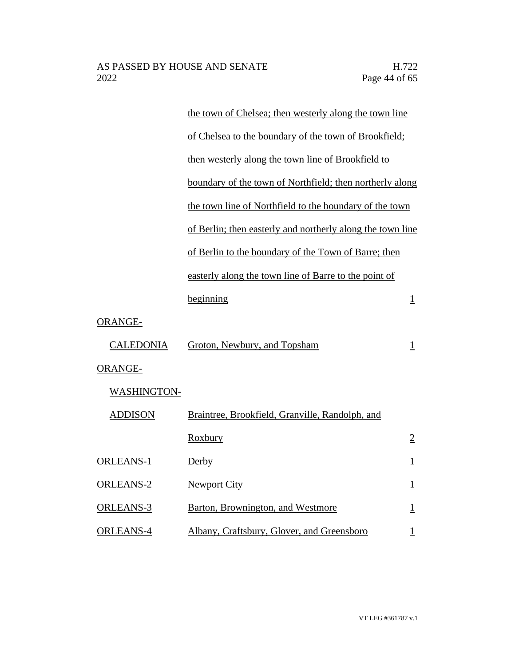|                    | the town of Chelsea; then westerly along the town line     |                         |
|--------------------|------------------------------------------------------------|-------------------------|
|                    | of Chelsea to the boundary of the town of Brookfield;      |                         |
|                    | then westerly along the town line of Brookfield to         |                         |
|                    | boundary of the town of Northfield; then northerly along   |                         |
|                    | the town line of Northfield to the boundary of the town    |                         |
|                    | of Berlin; then easterly and northerly along the town line |                         |
|                    | of Berlin to the boundary of the Town of Barre; then       |                         |
|                    | easterly along the town line of Barre to the point of      |                         |
|                    | beginning                                                  | $\overline{1}$          |
| ORANGE-            |                                                            |                         |
| <b>CALEDONIA</b>   | Groton, Newbury, and Topsham                               | $\perp$                 |
| <b>ORANGE-</b>     |                                                            |                         |
| <b>WASHINGTON-</b> |                                                            |                         |
| <b>ADDISON</b>     | Braintree, Brookfield, Granville, Randolph, and            |                         |
|                    | <b>Roxbury</b>                                             | $\overline{2}$          |
| <b>ORLEANS-1</b>   | Derby                                                      | $\overline{\mathbf{1}}$ |
| <b>ORLEANS-2</b>   | <b>Newport City</b>                                        | $\overline{1}$          |
| ORLEANS-3          | Barton, Brownington, and Westmore                          | $\mathbf{1}$            |
| <b>ORLEANS-4</b>   | Albany, Craftsbury, Glover, and Greensboro                 | $\overline{1}$          |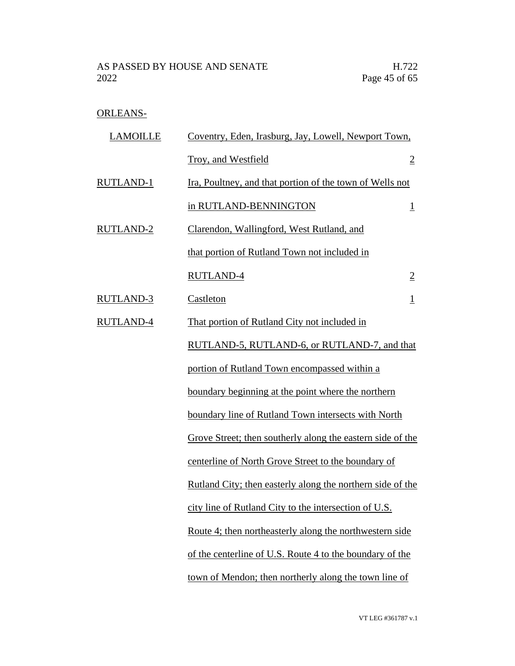# ORLEANS-

| <b>LAMOILLE</b>  | Coventry, Eden, Irasburg, Jay, Lowell, Newport Town,           |                         |
|------------------|----------------------------------------------------------------|-------------------------|
|                  | Troy, and Westfield                                            | $\overline{2}$          |
| <b>RUTLAND-1</b> | Ira, Poultney, and that portion of the town of Wells not       |                         |
|                  | in RUTLAND-BENNINGTON                                          | $\overline{\mathbf{1}}$ |
| RUTLAND-2        | Clarendon, Wallingford, West Rutland, and                      |                         |
|                  | that portion of Rutland Town not included in                   |                         |
|                  | <b>RUTLAND-4</b>                                               | $\overline{2}$          |
| <b>RUTLAND-3</b> | Castleton                                                      | $\overline{1}$          |
| RUTLAND-4        | That portion of Rutland City not included in                   |                         |
|                  | RUTLAND-5, RUTLAND-6, or RUTLAND-7, and that                   |                         |
|                  | portion of Rutland Town encompassed within a                   |                         |
|                  | boundary beginning at the point where the northern             |                         |
|                  | boundary line of Rutland Town intersects with North            |                         |
|                  | Grove Street; then southerly along the eastern side of the     |                         |
|                  | centerline of North Grove Street to the boundary of            |                         |
|                  | Rutland City; then easterly along the northern side of the     |                         |
|                  | city line of Rutland City to the intersection of U.S.          |                         |
|                  | <u>Route 4; then northeasterly along the northwestern side</u> |                         |
|                  | of the centerline of U.S. Route 4 to the boundary of the       |                         |
|                  | town of Mendon; then northerly along the town line of          |                         |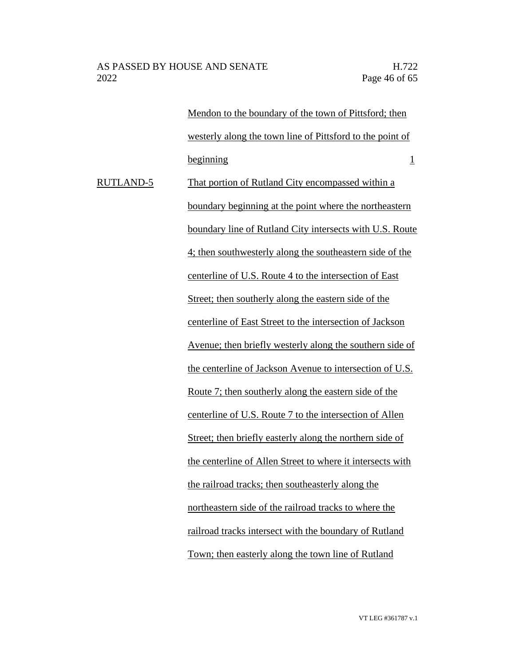Mendon to the boundary of the town of Pittsford; then westerly along the town line of Pittsford to the point of beginning 1 RUTLAND-5 That portion of Rutland City encompassed within a boundary beginning at the point where the northeastern boundary line of Rutland City intersects with U.S. Route 4; then southwesterly along the southeastern side of the centerline of U.S. Route 4 to the intersection of East Street; then southerly along the eastern side of the centerline of East Street to the intersection of Jackson Avenue; then briefly westerly along the southern side of the centerline of Jackson Avenue to intersection of U.S. Route 7; then southerly along the eastern side of the centerline of U.S. Route 7 to the intersection of Allen Street; then briefly easterly along the northern side of the centerline of Allen Street to where it intersects with the railroad tracks; then southeasterly along the northeastern side of the railroad tracks to where the railroad tracks intersect with the boundary of Rutland Town; then easterly along the town line of Rutland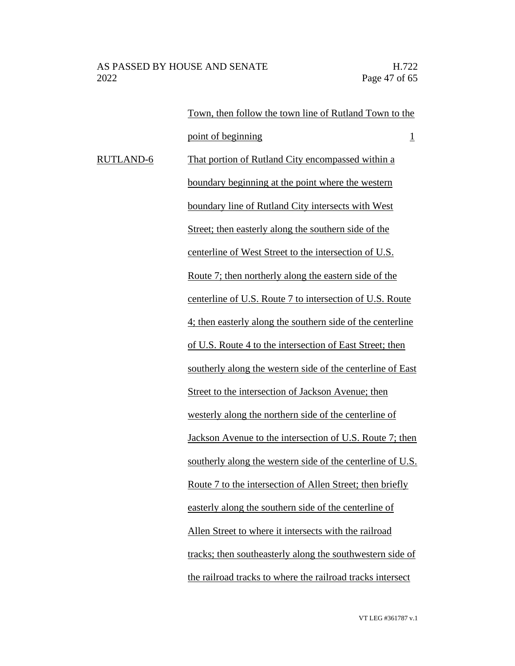Town, then follow the town line of Rutland Town to the point of beginning 1 RUTLAND-6 That portion of Rutland City encompassed within a boundary beginning at the point where the western boundary line of Rutland City intersects with West Street; then easterly along the southern side of the centerline of West Street to the intersection of U.S. Route 7; then northerly along the eastern side of the centerline of U.S. Route 7 to intersection of U.S. Route 4; then easterly along the southern side of the centerline of U.S. Route 4 to the intersection of East Street; then southerly along the western side of the centerline of East Street to the intersection of Jackson Avenue; then westerly along the northern side of the centerline of Jackson Avenue to the intersection of U.S. Route 7; then southerly along the western side of the centerline of U.S. Route 7 to the intersection of Allen Street; then briefly easterly along the southern side of the centerline of Allen Street to where it intersects with the railroad tracks; then southeasterly along the southwestern side of the railroad tracks to where the railroad tracks intersect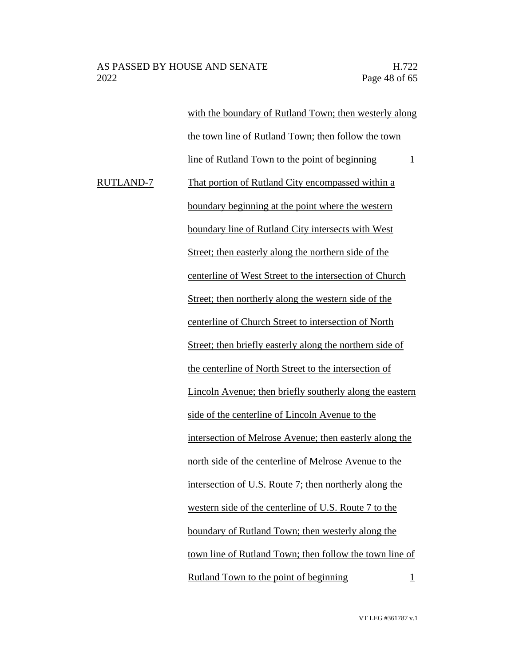|           | with the boundary of Rutland Town; then westerly along           |
|-----------|------------------------------------------------------------------|
|           | the town line of Rutland Town; then follow the town              |
|           | line of Rutland Town to the point of beginning<br>$\overline{1}$ |
| RUTLAND-7 | That portion of Rutland City encompassed within a                |
|           | boundary beginning at the point where the western                |
|           | boundary line of Rutland City intersects with West               |
|           | Street; then easterly along the northern side of the             |
|           | centerline of West Street to the intersection of Church          |
|           | Street; then northerly along the western side of the             |
|           | centerline of Church Street to intersection of North             |
|           | Street; then briefly easterly along the northern side of         |
|           | the centerline of North Street to the intersection of            |
|           | Lincoln Avenue; then briefly southerly along the eastern         |
|           | side of the centerline of Lincoln Avenue to the                  |
|           | intersection of Melrose Avenue; then easterly along the          |
|           | north side of the centerline of Melrose Avenue to the            |
|           | intersection of U.S. Route 7; then northerly along the           |
|           | western side of the centerline of U.S. Route 7 to the            |
|           | boundary of Rutland Town; then westerly along the                |
|           | town line of Rutland Town; then follow the town line of          |
|           | Rutland Town to the point of beginning<br>1                      |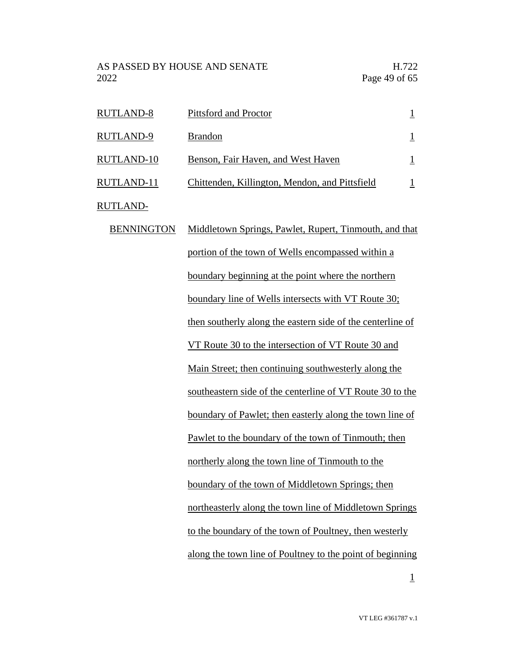AS PASSED BY HOUSE AND SENATE H.722 2022 Page 49 of 65

| <b>RUTLAND-8</b><br><b>RUTLAND-9</b><br>RUTLAND-10<br>RUTLAND-11 | Pittsford and Proctor                                                                |  |
|------------------------------------------------------------------|--------------------------------------------------------------------------------------|--|
|                                                                  | <b>Brandon</b>                                                                       |  |
|                                                                  | Benson, Fair Haven, and West Haven<br>Chittenden, Killington, Mendon, and Pittsfield |  |
|                                                                  |                                                                                      |  |

RUTLAND-

BENNINGTON Middletown Springs, Pawlet, Rupert, Tinmouth, and that portion of the town of Wells encompassed within a boundary beginning at the point where the northern boundary line of Wells intersects with VT Route 30; then southerly along the eastern side of the centerline of VT Route 30 to the intersection of VT Route 30 and Main Street; then continuing southwesterly along the southeastern side of the centerline of VT Route 30 to the boundary of Pawlet; then easterly along the town line of Pawlet to the boundary of the town of Tinmouth; then northerly along the town line of Tinmouth to the boundary of the town of Middletown Springs; then northeasterly along the town line of Middletown Springs to the boundary of the town of Poultney, then westerly along the town line of Poultney to the point of beginning

1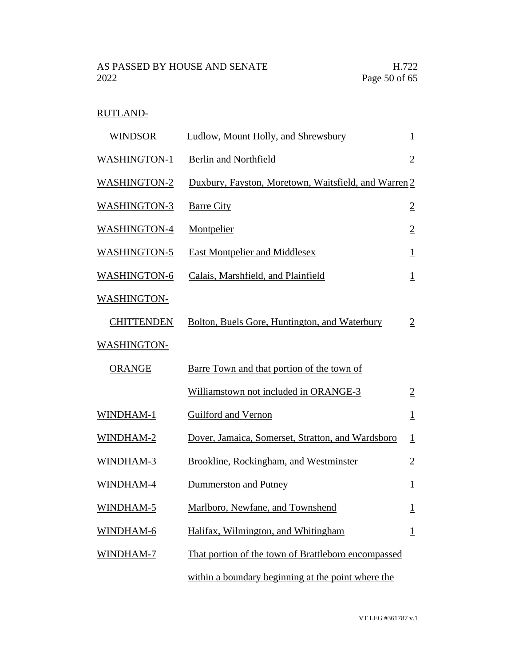# RUTLAND-

| <b>WINDSOR</b>      | Ludlow, Mount Holly, and Shrewsbury                  | $\perp$        |
|---------------------|------------------------------------------------------|----------------|
| <b>WASHINGTON-1</b> | <b>Berlin and Northfield</b>                         | $\overline{2}$ |
| <b>WASHINGTON-2</b> | Duxbury, Fayston, Moretown, Waitsfield, and Warren 2 |                |
| <b>WASHINGTON-3</b> | <b>Barre City</b>                                    | $\overline{2}$ |
| <b>WASHINGTON-4</b> | <b>Montpelier</b>                                    | $\overline{2}$ |
| <b>WASHINGTON-5</b> | <b>East Montpelier and Middlesex</b>                 | $\perp$        |
| <b>WASHINGTON-6</b> | Calais, Marshfield, and Plainfield                   | $\overline{1}$ |
| <b>WASHINGTON-</b>  |                                                      |                |
| <b>CHITTENDEN</b>   | Bolton, Buels Gore, Huntington, and Waterbury        | $\overline{2}$ |
| <b>WASHINGTON-</b>  |                                                      |                |
| <b>ORANGE</b>       | Barre Town and that portion of the town of           |                |
|                     | Williamstown not included in ORANGE-3                | $\overline{2}$ |
| WINDHAM-1           | Guilford and Vernon                                  | $\mathbf{1}$   |
| WINDHAM-2           | Dover, Jamaica, Somerset, Stratton, and Wardsboro    | $\mathbf{1}$   |
| WINDHAM-3           | Brookline, Rockingham, and Westminster               | $\overline{2}$ |
| WINDHAM-4           | Dummerston and Putney                                | $\overline{1}$ |
| WINDHAM-5           | Marlboro, Newfane, and Townshend                     | $\overline{1}$ |
| WINDHAM-6           | Halifax, Wilmington, and Whitingham                  | $\overline{1}$ |
| WINDHAM-7           | That portion of the town of Brattleboro encompassed  |                |
|                     | within a boundary beginning at the point where the   |                |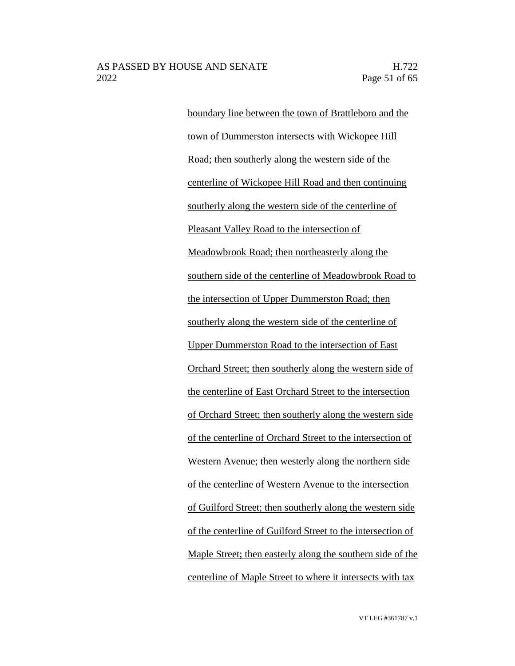boundary line between the town of Brattleboro and the town of Dummerston intersects with Wickopee Hill Road; then southerly along the western side of the centerline of Wickopee Hill Road and then continuing southerly along the western side of the centerline of Pleasant Valley Road to the intersection of Meadowbrook Road; then northeasterly along the southern side of the centerline of Meadowbrook Road to the intersection of Upper Dummerston Road; then southerly along the western side of the centerline of Upper Dummerston Road to the intersection of East Orchard Street; then southerly along the western side of the centerline of East Orchard Street to the intersection of Orchard Street; then southerly along the western side of the centerline of Orchard Street to the intersection of Western Avenue; then westerly along the northern side of the centerline of Western Avenue to the intersection of Guilford Street; then southerly along the western side of the centerline of Guilford Street to the intersection of Maple Street; then easterly along the southern side of the centerline of Maple Street to where it intersects with tax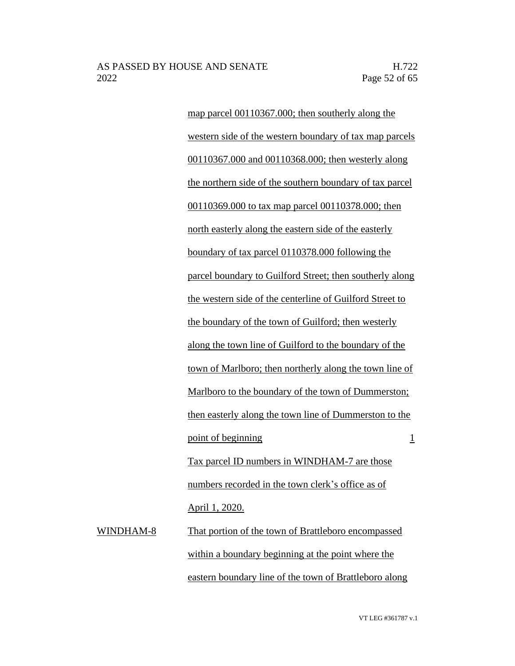map parcel 00110367.000; then southerly along the western side of the western boundary of tax map parcels 00110367.000 and 00110368.000; then westerly along the northern side of the southern boundary of tax parcel 00110369.000 to tax map parcel 00110378.000; then north easterly along the eastern side of the easterly boundary of tax parcel 0110378.000 following the parcel boundary to Guilford Street; then southerly along the western side of the centerline of Guilford Street to the boundary of the town of Guilford; then westerly along the town line of Guilford to the boundary of the town of Marlboro; then northerly along the town line of Marlboro to the boundary of the town of Dummerston; then easterly along the town line of Dummerston to the point of beginning 1 Tax parcel ID numbers in WINDHAM-7 are those numbers recorded in the town clerk's office as of April 1, 2020.

WINDHAM-8 That portion of the town of Brattleboro encompassed within a boundary beginning at the point where the eastern boundary line of the town of Brattleboro along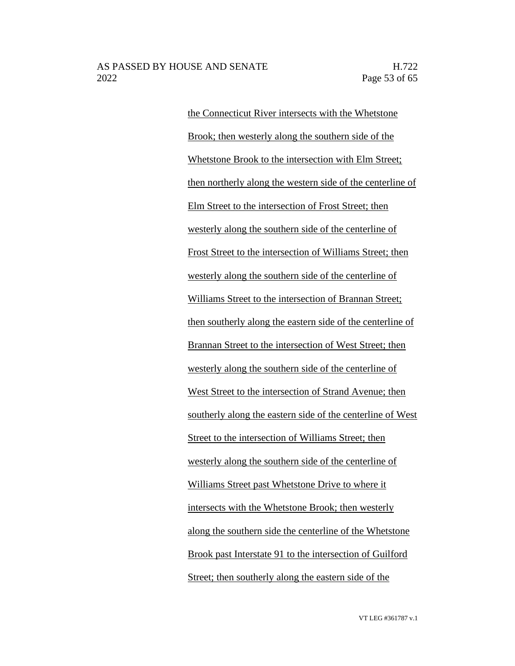the Connecticut River intersects with the Whetstone Brook; then westerly along the southern side of the Whetstone Brook to the intersection with Elm Street; then northerly along the western side of the centerline of Elm Street to the intersection of Frost Street; then westerly along the southern side of the centerline of Frost Street to the intersection of Williams Street; then westerly along the southern side of the centerline of Williams Street to the intersection of Brannan Street; then southerly along the eastern side of the centerline of Brannan Street to the intersection of West Street; then westerly along the southern side of the centerline of West Street to the intersection of Strand Avenue; then southerly along the eastern side of the centerline of West Street to the intersection of Williams Street; then westerly along the southern side of the centerline of Williams Street past Whetstone Drive to where it intersects with the Whetstone Brook; then westerly along the southern side the centerline of the Whetstone Brook past Interstate 91 to the intersection of Guilford Street; then southerly along the eastern side of the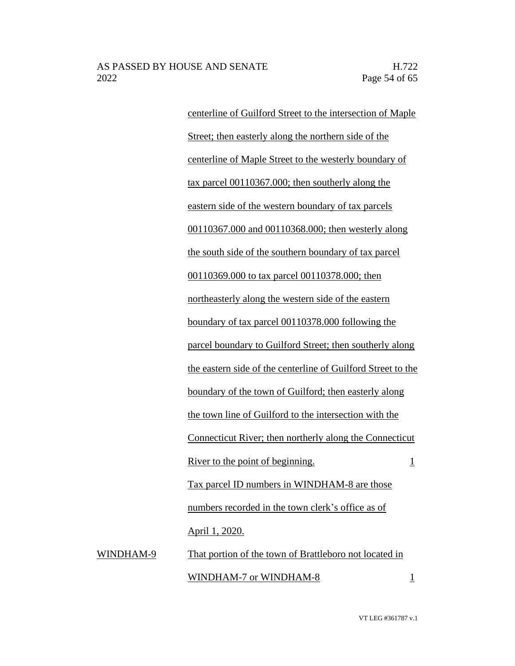centerline of Guilford Street to the intersection of Maple Street; then easterly along the northern side of the centerline of Maple Street to the westerly boundary of tax parcel 00110367.000; then southerly along the eastern side of the western boundary of tax parcels 00110367.000 and 00110368.000; then westerly along the south side of the southern boundary of tax parcel 00110369.000 to tax parcel 00110378.000; then northeasterly along the western side of the eastern boundary of tax parcel 00110378.000 following the parcel boundary to Guilford Street; then southerly along the eastern side of the centerline of Guilford Street to the boundary of the town of Guilford; then easterly along the town line of Guilford to the intersection with the Connecticut River; then northerly along the Connecticut River to the point of beginning. 1 Tax parcel ID numbers in WINDHAM-8 are those numbers recorded in the town clerk's office as of April 1, 2020. WINDHAM-9 That portion of the town of Brattleboro not located in

 $\text{WINDHAM-7 or WINDHAM-8}$  1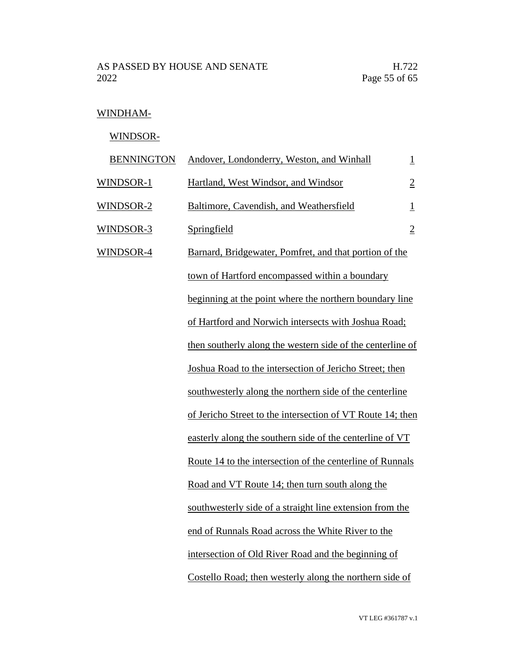### WINDHAM-

WINDSOR-

| <b>BENNINGTON</b> | Andover, Londonderry, Weston, and Winhall                  | $\overline{\mathbf{1}}$ |
|-------------------|------------------------------------------------------------|-------------------------|
| WINDSOR-1         | Hartland, West Windsor, and Windsor                        | $\overline{2}$          |
| WINDSOR-2         | Baltimore, Cavendish, and Weathersfield                    | $\overline{\mathbf{1}}$ |
| WINDSOR-3         | Springfield                                                | $\overline{2}$          |
| <b>WINDSOR-4</b>  | Barnard, Bridgewater, Pomfret, and that portion of the     |                         |
|                   | town of Hartford encompassed within a boundary             |                         |
|                   | beginning at the point where the northern boundary line    |                         |
|                   | of Hartford and Norwich intersects with Joshua Road;       |                         |
|                   | then southerly along the western side of the centerline of |                         |
|                   | Joshua Road to the intersection of Jericho Street; then    |                         |
|                   | southwesterly along the northern side of the centerline    |                         |
|                   | of Jericho Street to the intersection of VT Route 14; then |                         |
|                   | easterly along the southern side of the centerline of VT   |                         |
|                   | Route 14 to the intersection of the centerline of Runnals  |                         |
|                   | Road and VT Route 14; then turn south along the            |                         |
|                   | southwesterly side of a straight line extension from the   |                         |
|                   | end of Runnals Road across the White River to the          |                         |
|                   | intersection of Old River Road and the beginning of        |                         |
|                   | Costello Road; then westerly along the northern side of    |                         |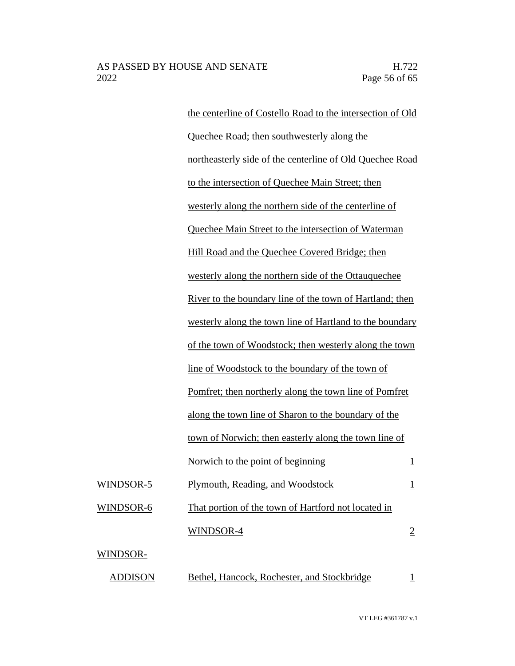the centerline of Costello Road to the intersection of Old Quechee Road; then southwesterly along the northeasterly side of the centerline of Old Quechee Road to the intersection of Quechee Main Street; then westerly along the northern side of the centerline of Quechee Main Street to the intersection of Waterman Hill Road and the Quechee Covered Bridge; then westerly along the northern side of the Ottauquechee River to the boundary line of the town of Hartland; then westerly along the town line of Hartland to the boundary of the town of Woodstock; then westerly along the town line of Woodstock to the boundary of the town of Pomfret; then northerly along the town line of Pomfret along the town line of Sharon to the boundary of the town of Norwich; then easterly along the town line of Norwich to the point of beginning 1 WINDSOR-5 Plymouth, Reading, and Woodstock 1 WINDSOR-6 That portion of the town of Hartford not located in  $WINDSOR-4$  2 WINDSOR- ADDISON Bethel, Hancock, Rochester, and Stockbridge 1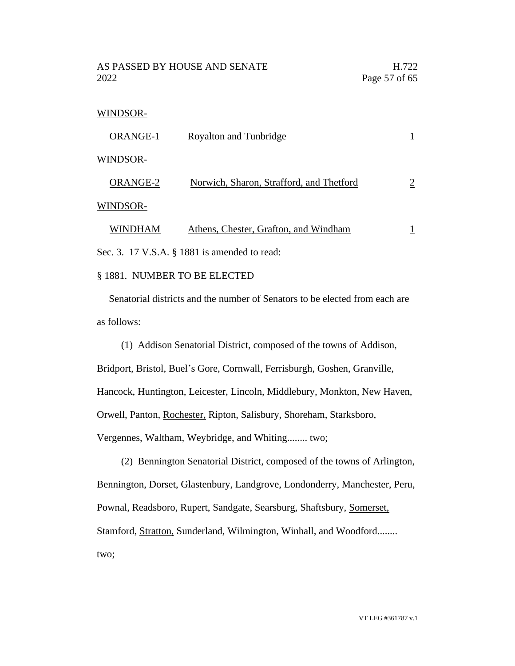AS PASSED BY HOUSE AND SENATE H.722 2022 Page 57 of 65

#### WINDSOR-

| ORANGE-1 | <b>Royalton and Tunbridge</b>            |   |
|----------|------------------------------------------|---|
| WINDSOR- |                                          |   |
| ORANGE-2 | Norwich, Sharon, Strafford, and Thetford | 2 |
| WINDSOR- |                                          |   |
| WINDHAM  | Athens, Chester, Grafton, and Windham    |   |

Sec. 3. 17 V.S.A. § 1881 is amended to read:

#### § 1881. NUMBER TO BE ELECTED

Senatorial districts and the number of Senators to be elected from each are as follows:

(1) Addison Senatorial District, composed of the towns of Addison, Bridport, Bristol, Buel's Gore, Cornwall, Ferrisburgh, Goshen, Granville, Hancock, Huntington, Leicester, Lincoln, Middlebury, Monkton, New Haven, Orwell, Panton, Rochester, Ripton, Salisbury, Shoreham, Starksboro, Vergennes, Waltham, Weybridge, and Whiting........ two;

(2) Bennington Senatorial District, composed of the towns of Arlington, Bennington, Dorset, Glastenbury, Landgrove, Londonderry, Manchester, Peru, Pownal, Readsboro, Rupert, Sandgate, Searsburg, Shaftsbury, Somerset, Stamford, Stratton, Sunderland, Wilmington, Winhall, and Woodford........ two;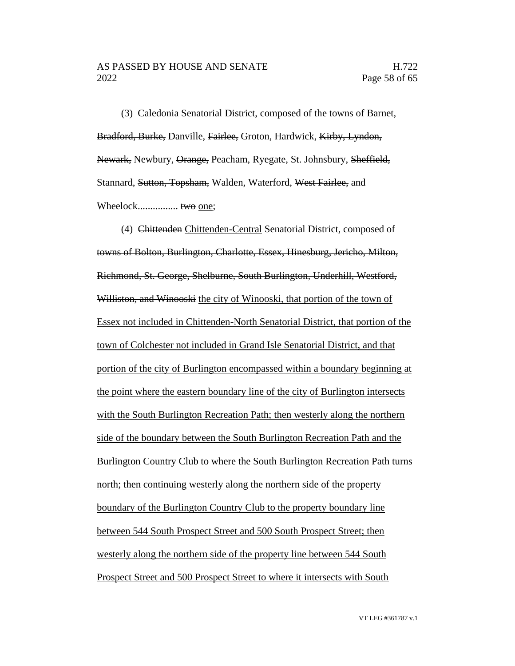#### AS PASSED BY HOUSE AND SENATE H.722 2022 Page 58 of 65

(3) Caledonia Senatorial District, composed of the towns of Barnet, Bradford, Burke, Danville, Fairlee, Groton, Hardwick, Kirby, Lyndon, Newark, Newbury, Orange, Peacham, Ryegate, St. Johnsbury, Sheffield, Stannard, Sutton, Topsham, Walden, Waterford, West Fairlee, and Wheelock................ two one;

(4) Chittenden Chittenden-Central Senatorial District, composed of towns of Bolton, Burlington, Charlotte, Essex, Hinesburg, Jericho, Milton, Richmond, St. George, Shelburne, South Burlington, Underhill, Westford, Williston, and Winooski the city of Winooski, that portion of the town of Essex not included in Chittenden-North Senatorial District, that portion of the town of Colchester not included in Grand Isle Senatorial District, and that portion of the city of Burlington encompassed within a boundary beginning at the point where the eastern boundary line of the city of Burlington intersects with the South Burlington Recreation Path; then westerly along the northern side of the boundary between the South Burlington Recreation Path and the Burlington Country Club to where the South Burlington Recreation Path turns north; then continuing westerly along the northern side of the property boundary of the Burlington Country Club to the property boundary line between 544 South Prospect Street and 500 South Prospect Street; then westerly along the northern side of the property line between 544 South Prospect Street and 500 Prospect Street to where it intersects with South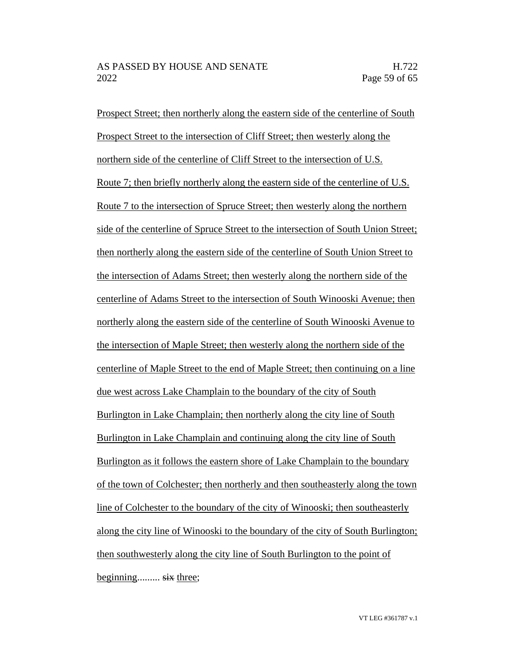Prospect Street; then northerly along the eastern side of the centerline of South Prospect Street to the intersection of Cliff Street; then westerly along the northern side of the centerline of Cliff Street to the intersection of U.S. Route 7; then briefly northerly along the eastern side of the centerline of U.S. Route 7 to the intersection of Spruce Street; then westerly along the northern side of the centerline of Spruce Street to the intersection of South Union Street; then northerly along the eastern side of the centerline of South Union Street to the intersection of Adams Street; then westerly along the northern side of the centerline of Adams Street to the intersection of South Winooski Avenue; then northerly along the eastern side of the centerline of South Winooski Avenue to the intersection of Maple Street; then westerly along the northern side of the centerline of Maple Street to the end of Maple Street; then continuing on a line due west across Lake Champlain to the boundary of the city of South Burlington in Lake Champlain; then northerly along the city line of South Burlington in Lake Champlain and continuing along the city line of South Burlington as it follows the eastern shore of Lake Champlain to the boundary of the town of Colchester; then northerly and then southeasterly along the town line of Colchester to the boundary of the city of Winooski; then southeasterly along the city line of Winooski to the boundary of the city of South Burlington; then southwesterly along the city line of South Burlington to the point of beginning......... six three;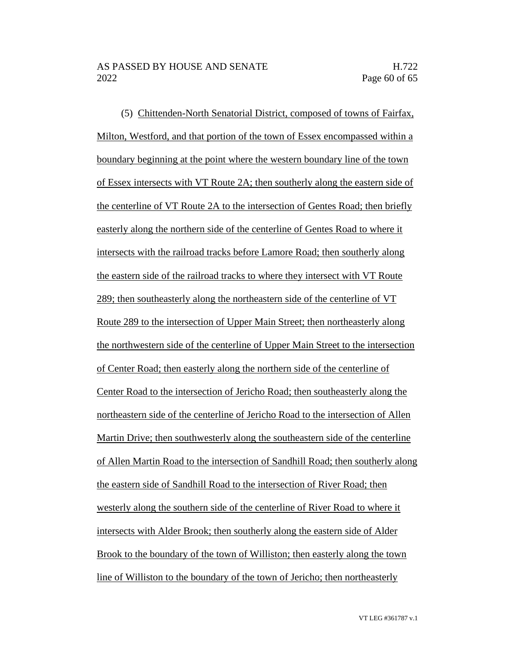(5) Chittenden-North Senatorial District, composed of towns of Fairfax, Milton, Westford, and that portion of the town of Essex encompassed within a boundary beginning at the point where the western boundary line of the town of Essex intersects with VT Route 2A; then southerly along the eastern side of the centerline of VT Route 2A to the intersection of Gentes Road; then briefly easterly along the northern side of the centerline of Gentes Road to where it intersects with the railroad tracks before Lamore Road; then southerly along the eastern side of the railroad tracks to where they intersect with VT Route 289; then southeasterly along the northeastern side of the centerline of VT Route 289 to the intersection of Upper Main Street; then northeasterly along the northwestern side of the centerline of Upper Main Street to the intersection of Center Road; then easterly along the northern side of the centerline of Center Road to the intersection of Jericho Road; then southeasterly along the northeastern side of the centerline of Jericho Road to the intersection of Allen Martin Drive; then southwesterly along the southeastern side of the centerline of Allen Martin Road to the intersection of Sandhill Road; then southerly along the eastern side of Sandhill Road to the intersection of River Road; then westerly along the southern side of the centerline of River Road to where it intersects with Alder Brook; then southerly along the eastern side of Alder Brook to the boundary of the town of Williston; then easterly along the town line of Williston to the boundary of the town of Jericho; then northeasterly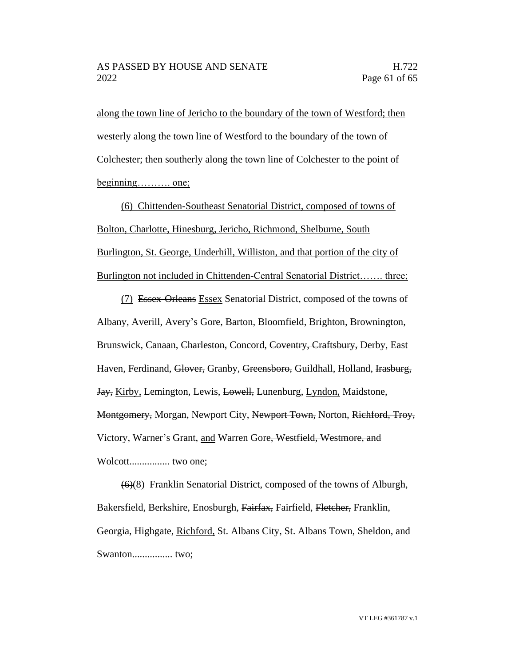along the town line of Jericho to the boundary of the town of Westford; then westerly along the town line of Westford to the boundary of the town of Colchester; then southerly along the town line of Colchester to the point of beginning………. one;

(6) Chittenden-Southeast Senatorial District, composed of towns of Bolton, Charlotte, Hinesburg, Jericho, Richmond, Shelburne, South Burlington, St. George, Underhill, Williston, and that portion of the city of Burlington not included in Chittenden-Central Senatorial District……. three;

(7) Essex-Orleans Essex Senatorial District, composed of the towns of Albany, Averill, Avery's Gore, Barton, Bloomfield, Brighton, Brownington, Brunswick, Canaan, Charleston, Concord, Coventry, Craftsbury, Derby, East Haven, Ferdinand, Glover, Granby, Greensboro, Guildhall, Holland, Irasburg, Jay, Kirby, Lemington, Lewis, Lowell, Lunenburg, Lyndon, Maidstone, Montgomery, Morgan, Newport City, Newport Town, Norton, Richford, Troy, Victory, Warner's Grant, and Warren Gore, Westfield, Westmore, and Wolcott................ two one;

(6)(8) Franklin Senatorial District, composed of the towns of Alburgh, Bakersfield, Berkshire, Enosburgh, Fairfax, Fairfield, Fletcher, Franklin, Georgia, Highgate, Richford, St. Albans City, St. Albans Town, Sheldon, and Swanton................ two;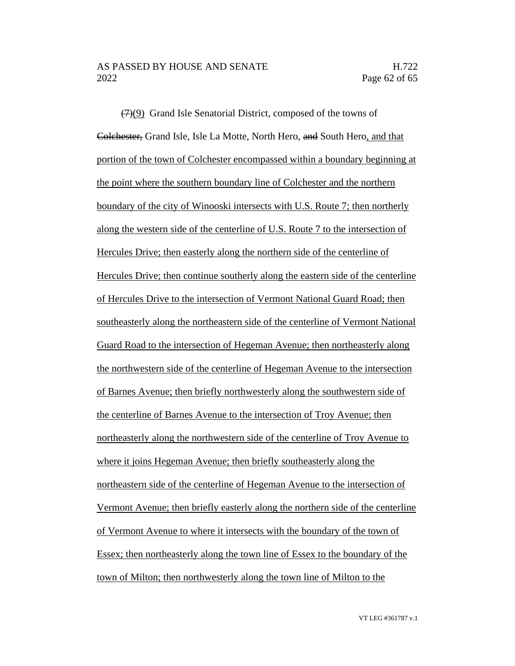$(7)(9)$  Grand Isle Senatorial District, composed of the towns of Colchester, Grand Isle, Isle La Motte, North Hero, and South Hero, and that portion of the town of Colchester encompassed within a boundary beginning at the point where the southern boundary line of Colchester and the northern boundary of the city of Winooski intersects with U.S. Route 7; then northerly along the western side of the centerline of U.S. Route 7 to the intersection of Hercules Drive; then easterly along the northern side of the centerline of Hercules Drive; then continue southerly along the eastern side of the centerline of Hercules Drive to the intersection of Vermont National Guard Road; then southeasterly along the northeastern side of the centerline of Vermont National Guard Road to the intersection of Hegeman Avenue; then northeasterly along the northwestern side of the centerline of Hegeman Avenue to the intersection of Barnes Avenue; then briefly northwesterly along the southwestern side of the centerline of Barnes Avenue to the intersection of Troy Avenue; then northeasterly along the northwestern side of the centerline of Troy Avenue to where it joins Hegeman Avenue; then briefly southeasterly along the northeastern side of the centerline of Hegeman Avenue to the intersection of Vermont Avenue; then briefly easterly along the northern side of the centerline of Vermont Avenue to where it intersects with the boundary of the town of Essex; then northeasterly along the town line of Essex to the boundary of the town of Milton; then northwesterly along the town line of Milton to the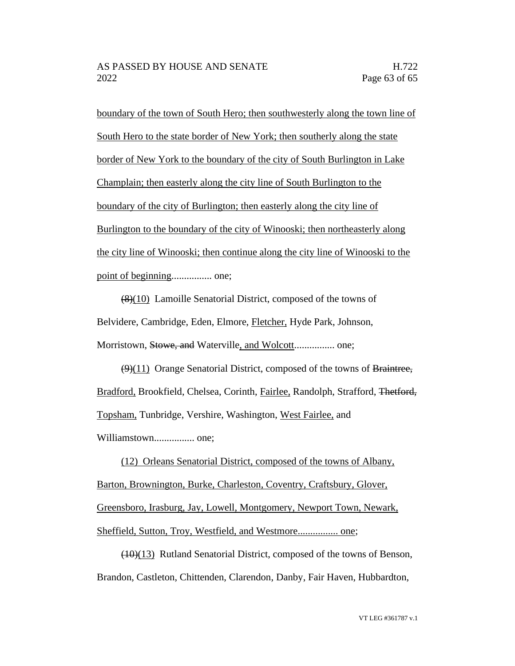boundary of the town of South Hero; then southwesterly along the town line of South Hero to the state border of New York; then southerly along the state border of New York to the boundary of the city of South Burlington in Lake Champlain; then easterly along the city line of South Burlington to the boundary of the city of Burlington; then easterly along the city line of Burlington to the boundary of the city of Winooski; then northeasterly along the city line of Winooski; then continue along the city line of Winooski to the point of beginning................ one;

(8)(10) Lamoille Senatorial District, composed of the towns of Belvidere, Cambridge, Eden, Elmore, Fletcher, Hyde Park, Johnson, Morristown, Stowe, and Waterville, and Wolcott................ one;

 $(9)(11)$  Orange Senatorial District, composed of the towns of Braintree, Bradford, Brookfield, Chelsea, Corinth, Fairlee, Randolph, Strafford, Thetford, Topsham, Tunbridge, Vershire, Washington, West Fairlee, and Williamstown................ one;

(12) Orleans Senatorial District, composed of the towns of Albany, Barton, Brownington, Burke, Charleston, Coventry, Craftsbury, Glover, Greensboro, Irasburg, Jay, Lowell, Montgomery, Newport Town, Newark, Sheffield, Sutton, Troy, Westfield, and Westmore................ one;

(10)(13) Rutland Senatorial District, composed of the towns of Benson, Brandon, Castleton, Chittenden, Clarendon, Danby, Fair Haven, Hubbardton,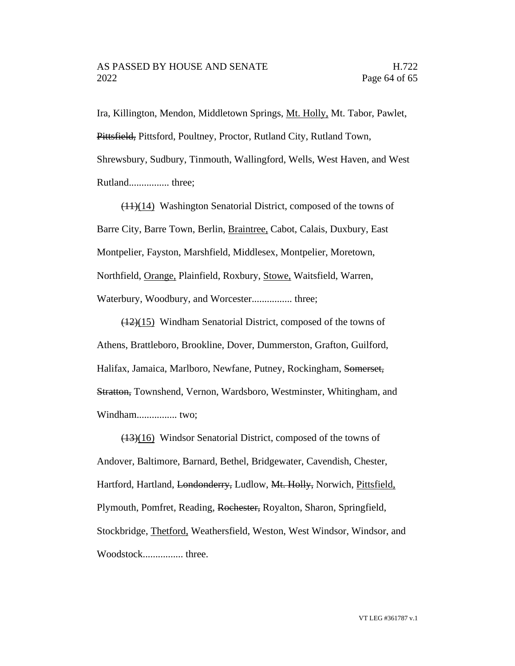Ira, Killington, Mendon, Middletown Springs, Mt. Holly, Mt. Tabor, Pawlet, Pittsfield, Pittsford, Poultney, Proctor, Rutland City, Rutland Town, Shrewsbury, Sudbury, Tinmouth, Wallingford, Wells, West Haven, and West Rutland................ three;

(11)(14) Washington Senatorial District, composed of the towns of Barre City, Barre Town, Berlin, Braintree, Cabot, Calais, Duxbury, East Montpelier, Fayston, Marshfield, Middlesex, Montpelier, Moretown, Northfield, Orange, Plainfield, Roxbury, Stowe, Waitsfield, Warren, Waterbury, Woodbury, and Worcester................ three;

 $(12)(15)$  Windham Senatorial District, composed of the towns of Athens, Brattleboro, Brookline, Dover, Dummerston, Grafton, Guilford, Halifax, Jamaica, Marlboro, Newfane, Putney, Rockingham, Somerset, Stratton, Townshend, Vernon, Wardsboro, Westminster, Whitingham, and Windham................ two;

 $(13)(16)$  Windsor Senatorial District, composed of the towns of Andover, Baltimore, Barnard, Bethel, Bridgewater, Cavendish, Chester, Hartford, Hartland, Londonderry, Ludlow, Mt. Holly, Norwich, Pittsfield, Plymouth, Pomfret, Reading, Rochester, Royalton, Sharon, Springfield, Stockbridge, Thetford, Weathersfield, Weston, West Windsor, Windsor, and Woodstock................ three.